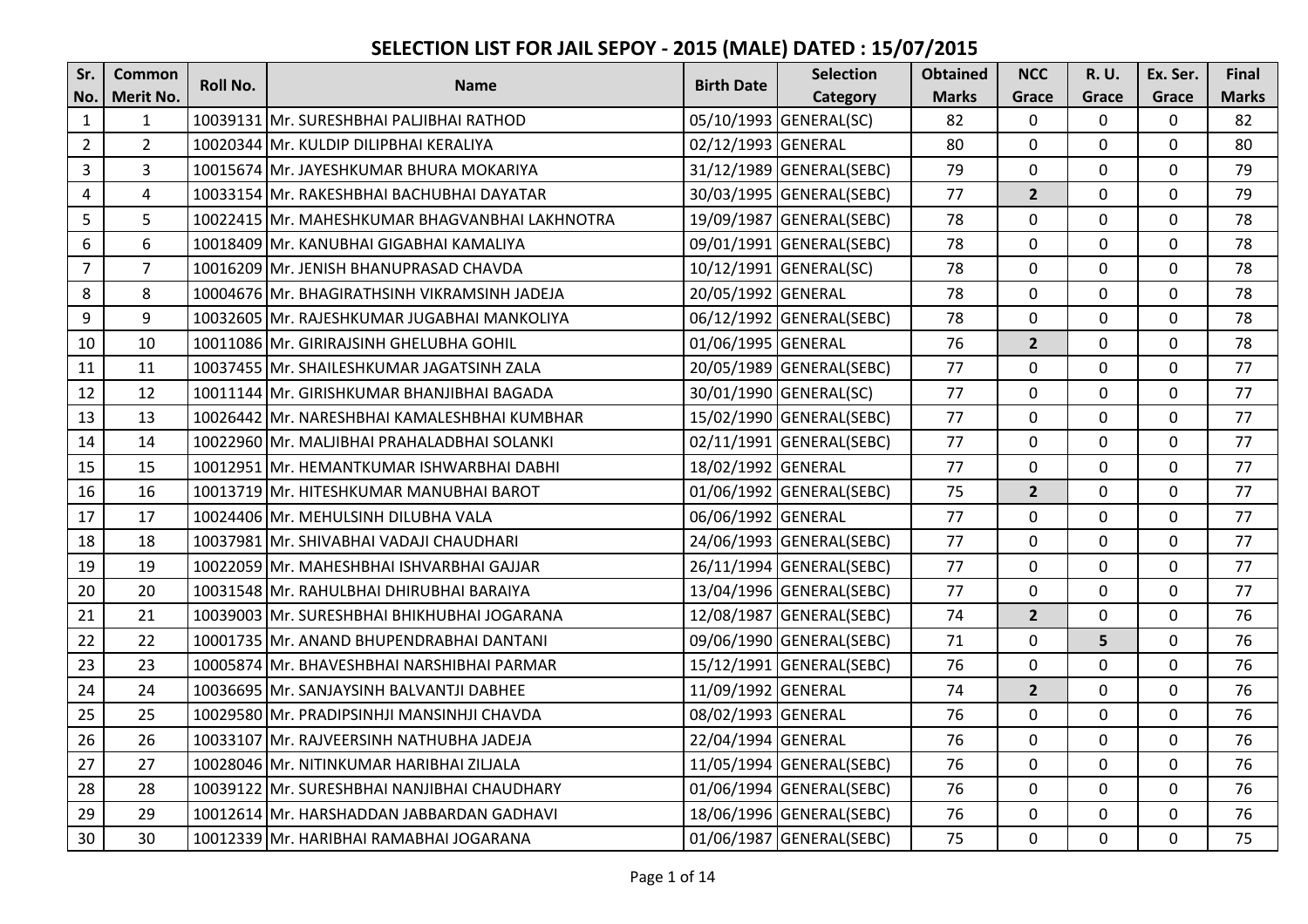| Sr.            | <b>Common</b>    | Roll No. | <b>Name</b>                                    | <b>Birth Date</b>  | <b>Selection</b>         | <b>Obtained</b> | <b>NCC</b>     | <b>R.U.</b>    | Ex. Ser.       | Final        |
|----------------|------------------|----------|------------------------------------------------|--------------------|--------------------------|-----------------|----------------|----------------|----------------|--------------|
| No.            | <b>Merit No.</b> |          |                                                |                    | Category                 | <b>Marks</b>    | Grace          | Grace          | Grace          | <b>Marks</b> |
| $\mathbf{1}$   | $\mathbf{1}$     |          | 10039131 Mr. SURESHBHAI PALJIBHAI RATHOD       |                    | 05/10/1993 GENERAL(SC)   | 82              | $\mathbf 0$    | $\Omega$       | $\overline{0}$ | 82           |
| $\overline{2}$ | $\overline{2}$   |          | 10020344 Mr. KULDIP DILIPBHAI KERALIYA         | 02/12/1993 GENERAL |                          | 80              | $\mathbf 0$    | $\Omega$       | $\mathbf 0$    | 80           |
| $\overline{3}$ | 3                |          | 10015674 Mr. JAYESHKUMAR BHURA MOKARIYA        |                    | 31/12/1989 GENERAL(SEBC) | 79              | $\Omega$       | $\Omega$       | 0              | 79           |
| $\overline{4}$ | 4                |          | 10033154 Mr. RAKESHBHAI BACHUBHAI DAYATAR      |                    | 30/03/1995 GENERAL(SEBC) | 77              | $\overline{2}$ | $\Omega$       | $\mathbf 0$    | 79           |
| 5              | 5                |          | 10022415 Mr. MAHESHKUMAR BHAGVANBHAI LAKHNOTRA |                    | 19/09/1987 GENERAL(SEBC) | 78              | $\overline{0}$ | 0              | $\mathbf 0$    | 78           |
| 6              | 6                |          | 10018409 Mr. KANUBHAI GIGABHAI KAMALIYA        |                    | 09/01/1991 GENERAL(SEBC) | 78              | $\mathbf 0$    | $\Omega$       | $\mathbf 0$    | 78           |
| $\overline{7}$ | $\overline{7}$   |          | 10016209 Mr. JENISH BHANUPRASAD CHAVDA         |                    | 10/12/1991 GENERAL(SC)   | 78              | $\mathbf 0$    | $\overline{0}$ | $\mathbf 0$    | 78           |
| 8              | 8                |          | 10004676 Mr. BHAGIRATHSINH VIKRAMSINH JADEJA   | 20/05/1992 GENERAL |                          | 78              | $\mathbf{0}$   | 0              | $\mathbf 0$    | 78           |
| 9              | 9                |          | 10032605 Mr. RAJESHKUMAR JUGABHAI MANKOLIYA    |                    | 06/12/1992 GENERAL(SEBC) | 78              | 0              | 0              | $\mathbf 0$    | 78           |
| 10             | 10               |          | 10011086 Mr. GIRIRAJSINH GHELUBHA GOHIL        | 01/06/1995 GENERAL |                          | 76              | $\overline{2}$ | $\mathbf{0}$   | $\overline{0}$ | 78           |
| 11             | 11               |          | 10037455 Mr. SHAILESHKUMAR JAGATSINH ZALA      |                    | 20/05/1989 GENERAL(SEBC) | 77              | 0              | $\mathbf 0$    | $\mathbf 0$    | 77           |
| 12             | 12               |          | 10011144 Mr. GIRISHKUMAR BHANJIBHAI BAGADA     |                    | 30/01/1990 GENERAL(SC)   | 77              | 0              | 0              | $\mathbf 0$    | 77           |
| 13             | 13               |          | 10026442 Mr. NARESHBHAI KAMALESHBHAI KUMBHAR   |                    | 15/02/1990 GENERAL(SEBC) | 77              | $\mathbf 0$    | $\mathbf 0$    | $\mathbf 0$    | 77           |
| 14             | 14               |          | 10022960 Mr. MALJIBHAI PRAHALADBHAI SOLANKI    |                    | 02/11/1991 GENERAL(SEBC) | 77              | $\mathbf 0$    | 0              | $\mathbf 0$    | 77           |
| 15             | 15               |          | 10012951 Mr. HEMANTKUMAR ISHWARBHAI DABHI      | 18/02/1992 GENERAL |                          | 77              | 0              | $\mathbf 0$    | $\mathbf 0$    | 77           |
| 16             | 16               |          | 10013719 Mr. HITESHKUMAR MANUBHAI BAROT        |                    | 01/06/1992 GENERAL(SEBC) | 75              | $\overline{2}$ | $\Omega$       | $\mathbf 0$    | 77           |
| 17             | 17               |          | 10024406 Mr. MEHULSINH DILUBHA VALA            | 06/06/1992 GENERAL |                          | 77              | $\mathbf 0$    | 0              | $\mathbf 0$    | 77           |
| 18             | 18               |          | 10037981 Mr. SHIVABHAI VADAJI CHAUDHARI        |                    | 24/06/1993 GENERAL(SEBC) | 77              | 0              | 0              | 0              | 77           |
| 19             | 19               |          | 10022059 Mr. MAHESHBHAI ISHVARBHAI GAJJAR      |                    | 26/11/1994 GENERAL(SEBC) | 77              | 0              | $\Omega$       | $\mathbf 0$    | 77           |
| 20             | 20               |          | 10031548 Mr. RAHULBHAI DHIRUBHAI BARAIYA       |                    | 13/04/1996 GENERAL(SEBC) | 77              | 0              | 0              | $\mathbf 0$    | 77           |
| 21             | 21               |          | 10039003 Mr. SURESHBHAI BHIKHUBHAI JOGARANA    |                    | 12/08/1987 GENERAL(SEBC) | 74              | $\overline{2}$ | $\Omega$       | $\mathbf 0$    | 76           |
| 22             | 22               |          | 10001735 Mr. ANAND BHUPENDRABHAI DANTANI       |                    | 09/06/1990 GENERAL(SEBC) | 71              | $\Omega$       | 5              | $\overline{0}$ | 76           |
| 23             | 23               |          | 10005874 Mr. BHAVESHBHAI NARSHIBHAI PARMAR     |                    | 15/12/1991 GENERAL(SEBC) | 76              | $\mathbf 0$    | $\mathbf 0$    | $\mathbf 0$    | 76           |
| 24             | 24               |          | 10036695 Mr. SANJAYSINH BALVANTJI DABHEE       | 11/09/1992 GENERAL |                          | 74              | $\overline{2}$ | $\Omega$       | $\mathbf 0$    | 76           |
| 25             | 25               |          | 10029580 Mr. PRADIPSINHJI MANSINHJI CHAVDA     | 08/02/1993 GENERAL |                          | 76              | 0              | 0              | $\mathbf 0$    | 76           |
| 26             | 26               |          | 10033107 Mr. RAJVEERSINH NATHUBHA JADEJA       | 22/04/1994 GENERAL |                          | 76              | $\overline{0}$ | $\Omega$       | $\mathbf 0$    | 76           |
| 27             | 27               |          | 10028046 Mr. NITINKUMAR HARIBHAI ZILJALA       |                    | 11/05/1994 GENERAL(SEBC) | 76              | 0              | 0              | $\mathbf 0$    | 76           |
| 28             | 28               |          | 10039122 Mr. SURESHBHAI NANJIBHAI CHAUDHARY    |                    | 01/06/1994 GENERAL(SEBC) | 76              | $\Omega$       | $\mathbf 0$    | $\mathbf 0$    | 76           |
| 29             | 29               |          | 10012614 Mr. HARSHADDAN JABBARDAN GADHAVI      |                    | 18/06/1996 GENERAL(SEBC) | 76              | $\mathbf 0$    | $\mathbf 0$    | $\mathbf 0$    | 76           |
| 30             | 30               |          | 10012339 Mr. HARIBHAI RAMABHAI JOGARANA        |                    | 01/06/1987 GENERAL(SEBC) | 75              | $\mathbf 0$    | $\mathbf 0$    | $\mathbf 0$    | 75           |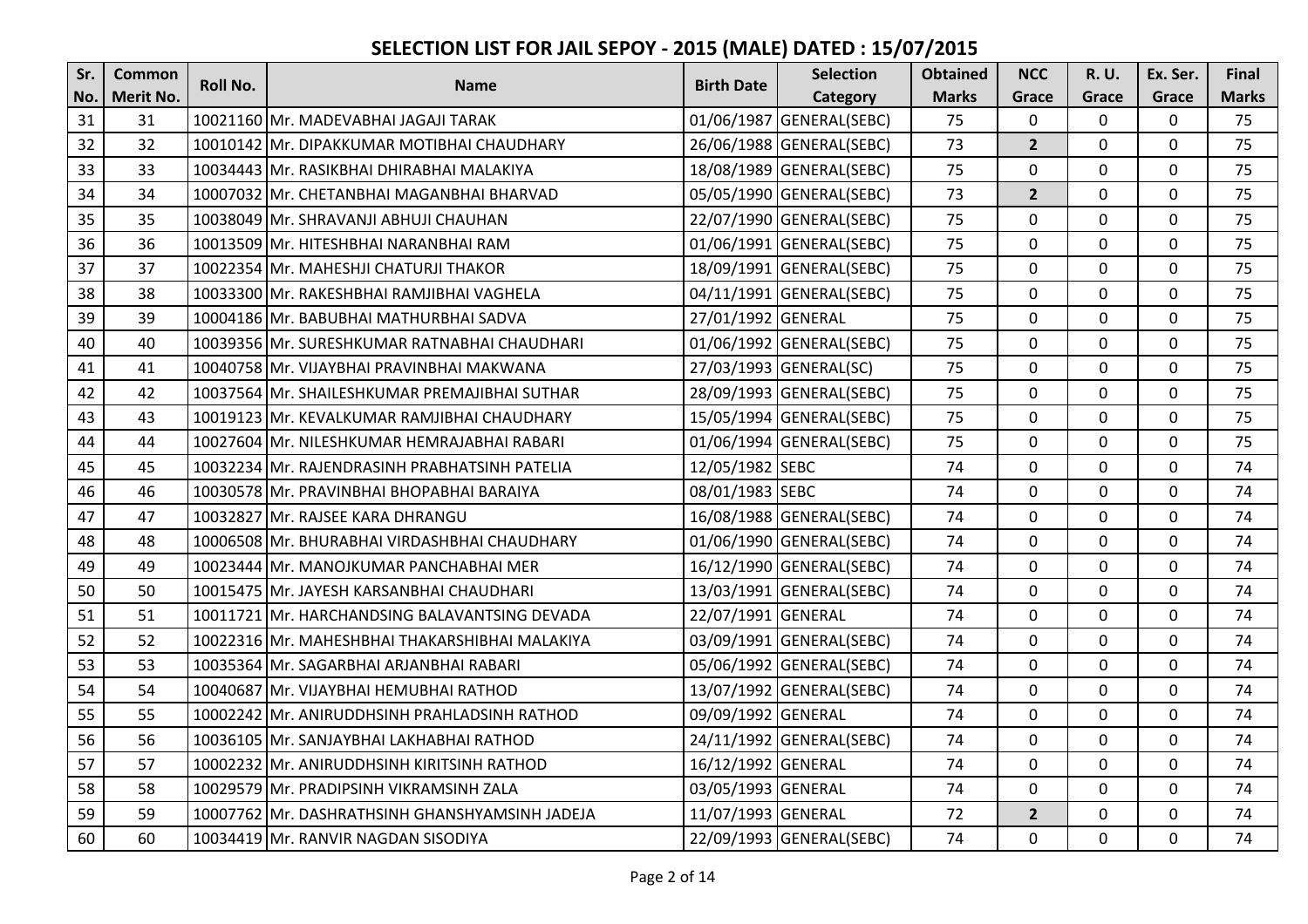| Sr. | <b>Common</b>    | Roll No. | <b>Name</b>                                    | <b>Birth Date</b>  | <b>Selection</b>         | <b>Obtained</b> | <b>NCC</b>     | <b>R.U.</b>    | Ex. Ser.     | Final        |
|-----|------------------|----------|------------------------------------------------|--------------------|--------------------------|-----------------|----------------|----------------|--------------|--------------|
| No. | <b>Merit No.</b> |          |                                                |                    | Category                 | <b>Marks</b>    | Grace          | Grace          | Grace        | <b>Marks</b> |
| 31  | 31               |          | 10021160 Mr. MADEVABHAI JAGAJI TARAK           |                    | 01/06/1987 GENERAL(SEBC) | 75              | $\mathbf 0$    | 0              | $\mathbf 0$  | 75           |
| 32  | 32               |          | 10010142 Mr. DIPAKKUMAR MOTIBHAI CHAUDHARY     |                    | 26/06/1988 GENERAL(SEBC) | 73              | $\overline{2}$ | 0              | $\mathbf{0}$ | 75           |
| 33  | 33               |          | 10034443 Mr. RASIKBHAI DHIRABHAI MALAKIYA      |                    | 18/08/1989 GENERAL(SEBC) | 75              | $\mathbf 0$    | 0              | $\mathbf 0$  | 75           |
| 34  | 34               |          | 10007032 Mr. CHETANBHAI MAGANBHAI BHARVAD      |                    | 05/05/1990 GENERAL(SEBC) | 73              | $\overline{2}$ | 0              | 0            | 75           |
| 35  | 35               |          | 10038049 Mr. SHRAVANJI ABHUJI CHAUHAN          |                    | 22/07/1990 GENERAL(SEBC) | 75              | $\mathbf 0$    | $\overline{0}$ | $\mathbf 0$  | 75           |
| 36  | 36               |          | 10013509 Mr. HITESHBHAI NARANBHAI RAM          |                    | 01/06/1991 GENERAL(SEBC) | 75              | $\Omega$       | 0              | 0            | 75           |
| 37  | 37               |          | 10022354 Mr. MAHESHJI CHATURJI THAKOR          |                    | 18/09/1991 GENERAL(SEBC) | 75              | $\mathbf 0$    | 0              | 0            | 75           |
| 38  | 38               |          | 10033300 Mr. RAKESHBHAI RAMJIBHAI VAGHELA      |                    | 04/11/1991 GENERAL(SEBC) | 75              | $\mathbf 0$    | 0              | $\mathbf 0$  | 75           |
| 39  | 39               |          | 10004186 Mr. BABUBHAI MATHURBHAI SADVA         | 27/01/1992 GENERAL |                          | 75              | $\Omega$       | 0              | 0            | 75           |
| 40  | 40               |          | 10039356 Mr. SURESHKUMAR RATNABHAI CHAUDHARI   |                    | 01/06/1992 GENERAL(SEBC) | 75              | $\mathbf 0$    | $\mathbf{0}$   | $\mathbf 0$  | 75           |
| 41  | 41               |          | 10040758 Mr. VIJAYBHAI PRAVINBHAI MAKWANA      |                    | 27/03/1993 GENERAL(SC)   | 75              | $\mathbf 0$    | 0              | $\mathbf 0$  | 75           |
| 42  | 42               |          | 10037564 Mr. SHAILESHKUMAR PREMAJIBHAI SUTHAR  |                    | 28/09/1993 GENERAL(SEBC) | 75              | $\Omega$       | 0              | 0            | 75           |
| 43  | 43               |          | 10019123 Mr. KEVALKUMAR RAMJIBHAI CHAUDHARY    |                    | 15/05/1994 GENERAL(SEBC) | 75              | $\mathbf 0$    | 0              | $\mathbf 0$  | 75           |
| 44  | 44               |          | 10027604 Mr. NILESHKUMAR HEMRAJABHAI RABARI    |                    | 01/06/1994 GENERAL(SEBC) | 75              | $\mathbf 0$    | 0              | $\mathbf 0$  | 75           |
| 45  | 45               |          | 10032234 Mr. RAJENDRASINH PRABHATSINH PATELIA  | 12/05/1982 SEBC    |                          | 74              | $\Omega$       | $\mathbf{0}$   | $\mathbf 0$  | 74           |
| 46  | 46               |          | 10030578 Mr. PRAVINBHAI BHOPABHAI BARAIYA      | 08/01/1983 SEBC    |                          | 74              | $\mathbf 0$    | $\Omega$       | $\mathbf 0$  | 74           |
| 47  | 47               |          | 10032827 Mr. RAJSEE KARA DHRANGU               |                    | 16/08/1988 GENERAL(SEBC) | 74              | $\mathbf 0$    | 0              | $\mathbf 0$  | 74           |
| 48  | 48               |          | 10006508 Mr. BHURABHAI VIRDASHBHAI CHAUDHARY   |                    | 01/06/1990 GENERAL(SEBC) | 74              | $\mathbf 0$    | 0              | $\mathbf 0$  | 74           |
| 49  | 49               |          | 10023444 Mr. MANOJKUMAR PANCHABHAI MER         |                    | 16/12/1990 GENERAL(SEBC) | 74              | $\mathbf 0$    | 0              | $\mathbf 0$  | 74           |
| 50  | 50               |          | 10015475 Mr. JAYESH KARSANBHAI CHAUDHARI       |                    | 13/03/1991 GENERAL(SEBC) | 74              | $\mathbf 0$    | $\mathbf{0}$   | $\mathbf 0$  | 74           |
| 51  | 51               |          | 10011721 Mr. HARCHANDSING BALAVANTSING DEVADA  | 22/07/1991 GENERAL |                          | 74              | $\mathbf 0$    | 0              | $\mathbf 0$  | 74           |
| 52  | 52               |          | 10022316 Mr. MAHESHBHAI THAKARSHIBHAI MALAKIYA |                    | 03/09/1991 GENERAL(SEBC) | 74              | $\Omega$       | 0              | $\mathbf 0$  | 74           |
| 53  | 53               |          | 10035364 Mr. SAGARBHAI ARJANBHAI RABARI        |                    | 05/06/1992 GENERAL(SEBC) | 74              | $\mathbf 0$    | 0              | $\mathbf 0$  | 74           |
| 54  | 54               |          | 10040687 Mr. VIJAYBHAI HEMUBHAI RATHOD         |                    | 13/07/1992 GENERAL(SEBC) | 74              | $\mathbf 0$    | 0              | $\mathbf 0$  | 74           |
| 55  | 55               |          | 10002242 Mr. ANIRUDDHSINH PRAHLADSINH RATHOD   | 09/09/1992 GENERAL |                          | 74              | $\mathbf 0$    | 0              | $\mathbf 0$  | 74           |
| 56  | 56               |          | 10036105 Mr. SANJAYBHAI LAKHABHAI RATHOD       |                    | 24/11/1992 GENERAL(SEBC) | 74              | $\mathbf 0$    | 0              | $\mathbf 0$  | 74           |
| 57  | 57               |          | 10002232 Mr. ANIRUDDHSINH KIRITSINH RATHOD     | 16/12/1992 GENERAL |                          | 74              | $\mathbf 0$    | 0              | $\mathbf 0$  | 74           |
| 58  | 58               |          | 10029579 Mr. PRADIPSINH VIKRAMSINH ZALA        | 03/05/1993 GENERAL |                          | 74              | $\mathbf 0$    | 0              | $\mathbf 0$  | 74           |
| 59  | 59               |          | 10007762 Mr. DASHRATHSINH GHANSHYAMSINH JADEJA | 11/07/1993 GENERAL |                          | 72              | $\overline{2}$ | 0              | $\mathbf 0$  | 74           |
| 60  | 60               |          | 10034419 Mr. RANVIR NAGDAN SISODIYA            |                    | 22/09/1993 GENERAL(SEBC) | 74              | $\mathbf 0$    | $\mathbf{0}$   | $\mathbf 0$  | 74           |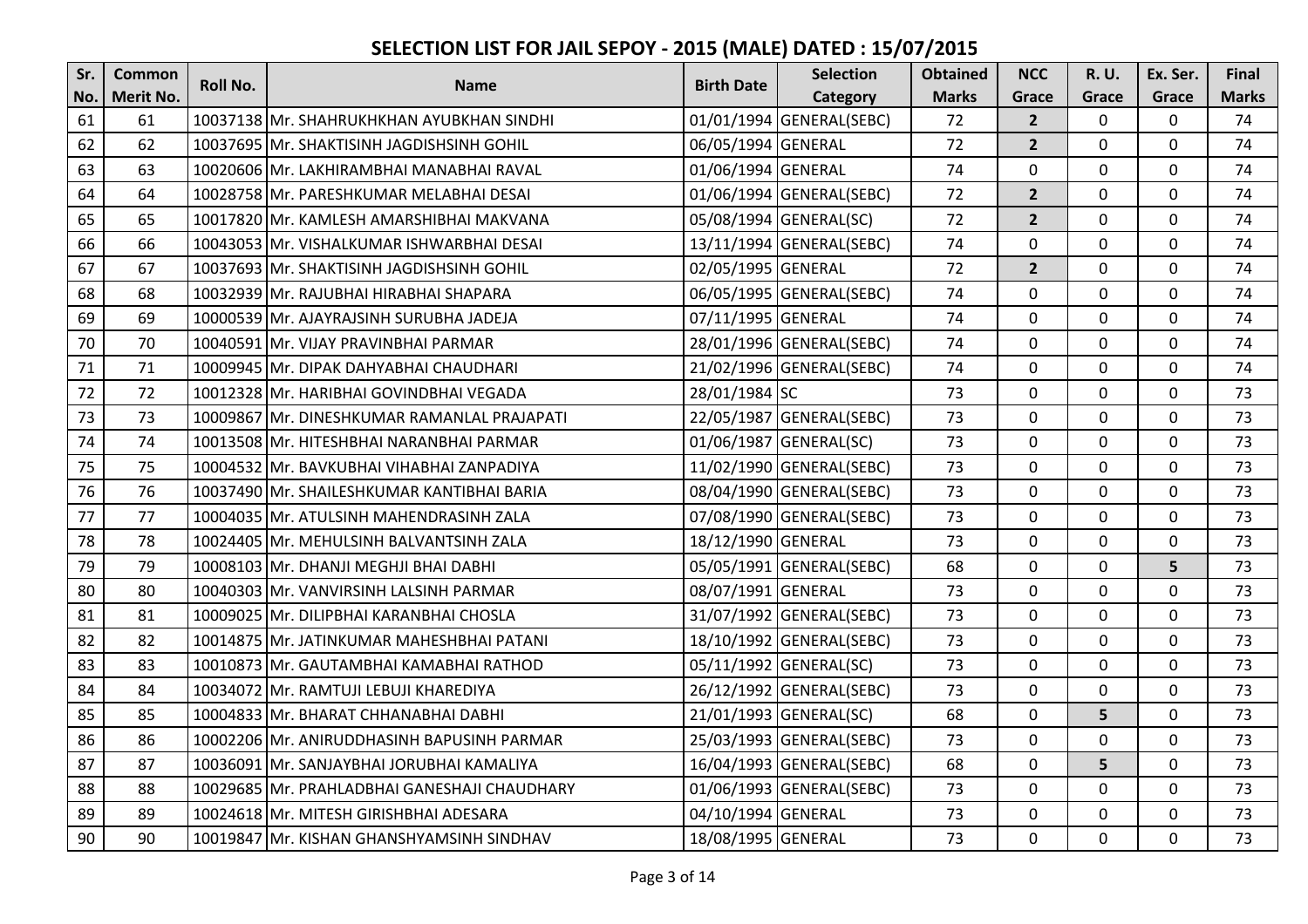| Sr. | Common           | <b>Roll No.</b> | <b>Name</b>                                  | <b>Birth Date</b>  | <b>Selection</b>         | <b>Obtained</b> | <b>NCC</b>     | <b>R.U.</b>  | Ex. Ser.    | Final        |
|-----|------------------|-----------------|----------------------------------------------|--------------------|--------------------------|-----------------|----------------|--------------|-------------|--------------|
| No. | <b>Merit No.</b> |                 |                                              |                    | Category                 | <b>Marks</b>    | Grace          | Grace        | Grace       | <b>Marks</b> |
| 61  | 61               |                 | 10037138 Mr. SHAHRUKHKHAN AYUBKHAN SINDHI    |                    | 01/01/1994 GENERAL(SEBC) | 72              | $\overline{2}$ | 0            | $\mathbf 0$ | 74           |
| 62  | 62               |                 | 10037695 Mr. SHAKTISINH JAGDISHSINH GOHIL    | 06/05/1994 GENERAL |                          | 72              | $\overline{2}$ | 0            | $\mathbf 0$ | 74           |
| 63  | 63               |                 | 10020606 Mr. LAKHIRAMBHAI MANABHAI RAVAL     | 01/06/1994 GENERAL |                          | 74              | $\Omega$       | 0            | 0           | 74           |
| 64  | 64               |                 | 10028758 Mr. PARESHKUMAR MELABHAI DESAI      |                    | 01/06/1994 GENERAL(SEBC) | 72              | $\overline{2}$ | 0            | $\mathbf 0$ | 74           |
| 65  | 65               |                 | 10017820 Mr. KAMLESH AMARSHIBHAI MAKVANA     |                    | 05/08/1994 GENERAL(SC)   | 72              | $\overline{2}$ | 0            | $\mathbf 0$ | 74           |
| 66  | 66               |                 | 10043053 Mr. VISHALKUMAR ISHWARBHAI DESAI    |                    | 13/11/1994 GENERAL(SEBC) | 74              | $\Omega$       | 0            | $\mathbf 0$ | 74           |
| 67  | 67               |                 | 10037693 Mr. SHAKTISINH JAGDISHSINH GOHIL    | 02/05/1995 GENERAL |                          | 72              | $2^{1}$        | 0            | $\mathbf 0$ | 74           |
| 68  | 68               |                 | 10032939 Mr. RAJUBHAI HIRABHAI SHAPARA       |                    | 06/05/1995 GENERAL(SEBC) | 74              | $\mathbf 0$    | $\mathbf{0}$ | $\mathbf 0$ | 74           |
| 69  | 69               |                 | 10000539 Mr. AJAYRAJSINH SURUBHA JADEJA      | 07/11/1995 GENERAL |                          | 74              | $\mathbf 0$    | 0            | $\mathbf 0$ | 74           |
| 70  | 70               |                 | 10040591 Mr. VIJAY PRAVINBHAI PARMAR         |                    | 28/01/1996 GENERAL(SEBC) | 74              | $\mathbf 0$    | 0            | $\mathbf 0$ | 74           |
| 71  | 71               |                 | 10009945 Mr. DIPAK DAHYABHAI CHAUDHARI       |                    | 21/02/1996 GENERAL(SEBC) | 74              | $\mathbf 0$    | 0            | $\mathbf 0$ | 74           |
| 72  | 72               |                 | 10012328 Mr. HARIBHAI GOVINDBHAI VEGADA      | 28/01/1984 SC      |                          | 73              | $\mathbf 0$    | 0            | $\mathbf 0$ | 73           |
| 73  | 73               |                 | 10009867 Mr. DINESHKUMAR RAMANLAL PRAJAPATI  |                    | 22/05/1987 GENERAL(SEBC) | 73              | $\mathbf 0$    | 0            | $\mathbf 0$ | 73           |
| 74  | 74               |                 | 10013508 Mr. HITESHBHAI NARANBHAI PARMAR     |                    | 01/06/1987 GENERAL(SC)   | 73              | $\mathbf 0$    | 0            | $\mathbf 0$ | 73           |
| 75  | 75               |                 | 10004532 Mr. BAVKUBHAI VIHABHAI ZANPADIYA    |                    | 11/02/1990 GENERAL(SEBC) | 73              | $\mathbf 0$    | 0            | $\mathbf 0$ | 73           |
| 76  | 76               |                 | 10037490 Mr. SHAILESHKUMAR KANTIBHAI BARIA   |                    | 08/04/1990 GENERAL(SEBC) | 73              | $\mathbf 0$    | 0            | $\mathbf 0$ | 73           |
| 77  | 77               |                 | 10004035 Mr. ATULSINH MAHENDRASINH ZALA      |                    | 07/08/1990 GENERAL(SEBC) | 73              | $\mathbf 0$    | 0            | $\mathbf 0$ | 73           |
| 78  | 78               |                 | 10024405 Mr. MEHULSINH BALVANTSINH ZALA      | 18/12/1990 GENERAL |                          | 73              | $\mathbf 0$    | 0            | $\mathbf 0$ | 73           |
| 79  | 79               |                 | 10008103 Mr. DHANJI MEGHJI BHAI DABHI        |                    | 05/05/1991 GENERAL(SEBC) | 68              | $\mathbf 0$    | $\Omega$     | 5           | 73           |
| 80  | 80               |                 | 10040303 Mr. VANVIRSINH LALSINH PARMAR       | 08/07/1991 GENERAL |                          | 73              | $\mathbf 0$    | 0            | $\mathbf 0$ | 73           |
| 81  | 81               |                 | 10009025 Mr. DILIPBHAI KARANBHAI CHOSLA      |                    | 31/07/1992 GENERAL(SEBC) | 73              | $\mathbf 0$    | 0            | $\mathbf 0$ | 73           |
| 82  | 82               |                 | 10014875 Mr. JATINKUMAR MAHESHBHAI PATANI    |                    | 18/10/1992 GENERAL(SEBC) | 73              | $\Omega$       | $\Omega$     | $\mathbf 0$ | 73           |
| 83  | 83               |                 | 10010873 Mr. GAUTAMBHAI KAMABHAI RATHOD      |                    | 05/11/1992 GENERAL(SC)   | 73              | $\mathbf 0$    | 0            | $\mathbf 0$ | 73           |
| 84  | 84               |                 | 10034072 Mr. RAMTUJI LEBUJI KHAREDIYA        |                    | 26/12/1992 GENERAL(SEBC) | 73              | $\mathbf 0$    | 0            | $\mathbf 0$ | 73           |
| 85  | 85               |                 | 10004833 Mr. BHARAT CHHANABHAI DABHI         |                    | 21/01/1993 GENERAL(SC)   | 68              | $\mathbf 0$    | 5            | $\mathbf 0$ | 73           |
| 86  | 86               |                 | 10002206 Mr. ANIRUDDHASINH BAPUSINH PARMAR   |                    | 25/03/1993 GENERAL(SEBC) | 73              | $\mathbf 0$    | 0            | $\mathbf 0$ | 73           |
| 87  | 87               |                 | 10036091 Mr. SANJAYBHAI JORUBHAI KAMALIYA    |                    | 16/04/1993 GENERAL(SEBC) | 68              | $\mathbf 0$    | 5            | $\mathbf 0$ | 73           |
| 88  | 88               |                 | 10029685 Mr. PRAHLADBHAI GANESHAJI CHAUDHARY |                    | 01/06/1993 GENERAL(SEBC) | 73              | $\Omega$       | 0            | $\mathbf 0$ | 73           |
| 89  | 89               |                 | 10024618 Mr. MITESH GIRISHBHAI ADESARA       | 04/10/1994 GENERAL |                          | 73              | $\mathbf 0$    | 0            | $\mathbf 0$ | 73           |
| 90  | 90               |                 | 10019847 Mr. KISHAN GHANSHYAMSINH SINDHAV    | 18/08/1995 GENERAL |                          | 73              | $\mathbf 0$    | 0            | $\mathbf 0$ | 73           |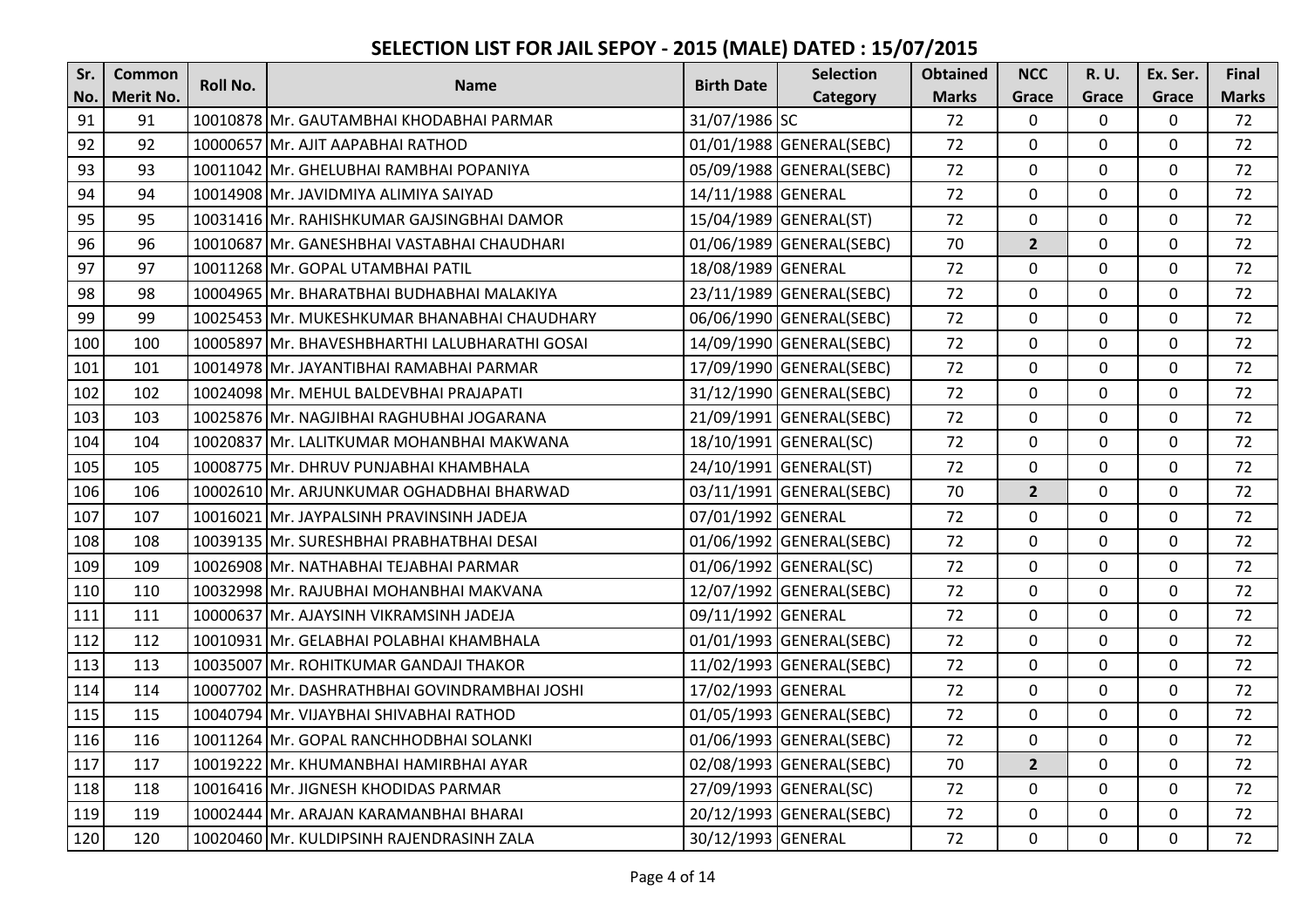| Sr. | <b>Common</b>    | <b>Roll No.</b> | <b>Name</b>                                    | <b>Birth Date</b>  | <b>Selection</b>         | <b>Obtained</b> | <b>NCC</b>     | <b>R.U.</b>  | Ex. Ser.         | <b>Final</b> |
|-----|------------------|-----------------|------------------------------------------------|--------------------|--------------------------|-----------------|----------------|--------------|------------------|--------------|
| No. | <b>Merit No.</b> |                 |                                                |                    | Category                 | <b>Marks</b>    | Grace          | Grace        | Grace            | <b>Marks</b> |
| 91  | 91               |                 | 10010878 Mr. GAUTAMBHAI KHODABHAI PARMAR       | 31/07/1986 SC      |                          | 72              | $\mathbf 0$    | 0            | $\mathbf 0$      | 72           |
| 92  | 92               |                 | 10000657 Mr. AJIT AAPABHAI RATHOD              |                    | 01/01/1988 GENERAL(SEBC) | 72              | $\mathbf 0$    | 0            | $\mathbf 0$      | 72           |
| 93  | 93               |                 | 10011042 Mr. GHELUBHAI RAMBHAI POPANIYA        |                    | 05/09/1988 GENERAL(SEBC) | 72              | $\mathbf 0$    | 0            | $\mathbf 0$      | 72           |
| 94  | 94               |                 | 10014908 Mr. JAVIDMIYA ALIMIYA SAIYAD          | 14/11/1988 GENERAL |                          | 72              | $\mathbf 0$    | 0            | $\mathbf 0$      | 72           |
| 95  | 95               |                 | 10031416 Mr. RAHISHKUMAR GAJSINGBHAI DAMOR     |                    | 15/04/1989 GENERAL(ST)   | 72              | $\Omega$       | 0            | $\mathbf 0$      | 72           |
| 96  | 96               |                 | 10010687 Mr. GANESHBHAI VASTABHAI CHAUDHARI    |                    | 01/06/1989 GENERAL(SEBC) | 70              | $\overline{2}$ | 0            | $\mathbf 0$      | 72           |
| 97  | 97               |                 | 10011268 Mr. GOPAL UTAMBHAI PATIL              | 18/08/1989 GENERAL |                          | 72              | $\mathbf 0$    | 0            | $\mathbf 0$      | 72           |
| 98  | 98               |                 | 10004965 Mr. BHARATBHAI BUDHABHAI MALAKIYA     |                    | 23/11/1989 GENERAL(SEBC) | 72              | $\mathbf 0$    | 0            | $\mathbf 0$      | 72           |
| 99  | 99               |                 | 10025453 Mr. MUKESHKUMAR BHANABHAI CHAUDHARY   |                    | 06/06/1990 GENERAL(SEBC) | 72              | $\mathbf 0$    | 0            | $\mathbf 0$      | 72           |
| 100 | 100              |                 | 10005897 Mr. BHAVESHBHARTHI LALUBHARATHI GOSAI |                    | 14/09/1990 GENERAL(SEBC) | 72              | $\mathbf 0$    | 0            | $\mathbf 0$      | 72           |
| 101 | 101              |                 | 10014978 Mr. JAYANTIBHAI RAMABHAI PARMAR       |                    | 17/09/1990 GENERAL(SEBC) | 72              | $\mathbf 0$    | 0            | $\mathbf 0$      | 72           |
| 102 | 102              |                 | 10024098 Mr. MEHUL BALDEVBHAI PRAJAPATI        |                    | 31/12/1990 GENERAL(SEBC) | 72              | $\mathbf 0$    | 0            | $\mathbf 0$      | 72           |
| 103 | 103              |                 | 10025876 Mr. NAGJIBHAI RAGHUBHAI JOGARANA      |                    | 21/09/1991 GENERAL(SEBC) | 72              | $\mathbf 0$    | 0            | $\mathbf 0$      | 72           |
| 104 | 104              |                 | 10020837 Mr. LALITKUMAR MOHANBHAI MAKWANA      |                    | 18/10/1991 GENERAL(SC)   | 72              | $\mathbf 0$    | 0            | $\mathbf 0$      | 72           |
| 105 | 105              |                 | 10008775 Mr. DHRUV PUNJABHAI KHAMBHALA         |                    | 24/10/1991 GENERAL(ST)   | 72              | $\mathbf 0$    | 0            | $\mathbf 0$      | 72           |
| 106 | 106              |                 | 10002610 Mr. ARJUNKUMAR OGHADBHAI BHARWAD      |                    | 03/11/1991 GENERAL(SEBC) | 70              | $\overline{2}$ | 0            | $\mathbf 0$      | 72           |
| 107 | 107              |                 | 10016021 Mr. JAYPALSINH PRAVINSINH JADEJA      | 07/01/1992 GENERAL |                          | 72              | $\mathbf 0$    | 0            | $\mathbf 0$      | 72           |
| 108 | 108              |                 | 10039135 Mr. SURESHBHAI PRABHATBHAI DESAI      |                    | 01/06/1992 GENERAL(SEBC) | 72              | $\mathbf 0$    | $\mathbf{0}$ | $\mathbf 0$      | 72           |
| 109 | 109              |                 | 10026908 Mr. NATHABHAI TEJABHAI PARMAR         |                    | 01/06/1992 GENERAL(SC)   | 72              | $\mathbf 0$    | 0            | $\mathbf 0$      | 72           |
| 110 | 110              |                 | 10032998 Mr. RAJUBHAI MOHANBHAI MAKVANA        |                    | 12/07/1992 GENERAL(SEBC) | 72              | $\mathbf 0$    | 0            | $\mathbf 0$      | 72           |
| 111 | 111              |                 | 10000637 Mr. AJAYSINH VIKRAMSINH JADEJA        | 09/11/1992 GENERAL |                          | 72              | $\mathbf 0$    | 0            | $\mathbf 0$      | 72           |
| 112 | 112              |                 | 10010931 IMr. GELABHAI POLABHAI KHAMBHALA      |                    | 01/01/1993 GENERAL(SEBC) | 72              | $\mathbf 0$    | 0            | $\mathbf 0$      | 72           |
| 113 | 113              |                 | 10035007 Mr. ROHITKUMAR GANDAJI THAKOR         |                    | 11/02/1993 GENERAL(SEBC) | 72              | $\mathbf 0$    | 0            | $\mathbf 0$      | 72           |
| 114 | 114              |                 | 10007702 Mr. DASHRATHBHAI GOVINDRAMBHAI JOSHI  | 17/02/1993 GENERAL |                          | 72              | $\mathbf 0$    | 0            | $\mathbf 0$      | 72           |
| 115 | 115              |                 | 10040794 Mr. VIJAYBHAI SHIVABHAI RATHOD        |                    | 01/05/1993 GENERAL(SEBC) | 72              | $\mathbf 0$    | 0            | $\mathbf 0$      | 72           |
| 116 | 116              |                 | 10011264 Mr. GOPAL RANCHHODBHAI SOLANKI        |                    | 01/06/1993 GENERAL(SEBC) | 72              | $\mathbf 0$    | 0            | $\mathbf 0$      | 72           |
| 117 | 117              |                 | 10019222 Mr. KHUMANBHAI HAMIRBHAI AYAR         |                    | 02/08/1993 GENERAL(SEBC) | 70              | $\overline{2}$ | 0            | $\boldsymbol{0}$ | 72           |
| 118 | 118              |                 | 10016416 Mr. JIGNESH KHODIDAS PARMAR           |                    | 27/09/1993 GENERAL(SC)   | 72              | $\overline{0}$ | 0            | $\mathbf 0$      | 72           |
| 119 | 119              |                 | 10002444 Mr. ARAJAN KARAMANBHAI BHARAI         |                    | 20/12/1993 GENERAL(SEBC) | 72              | $\mathbf 0$    | 0            | $\mathbf 0$      | 72           |
| 120 | 120              |                 | 10020460 Mr. KULDIPSINH RAJENDRASINH ZALA      | 30/12/1993 GENERAL |                          | 72              | $\mathbf 0$    | 0            | $\mathbf 0$      | 72           |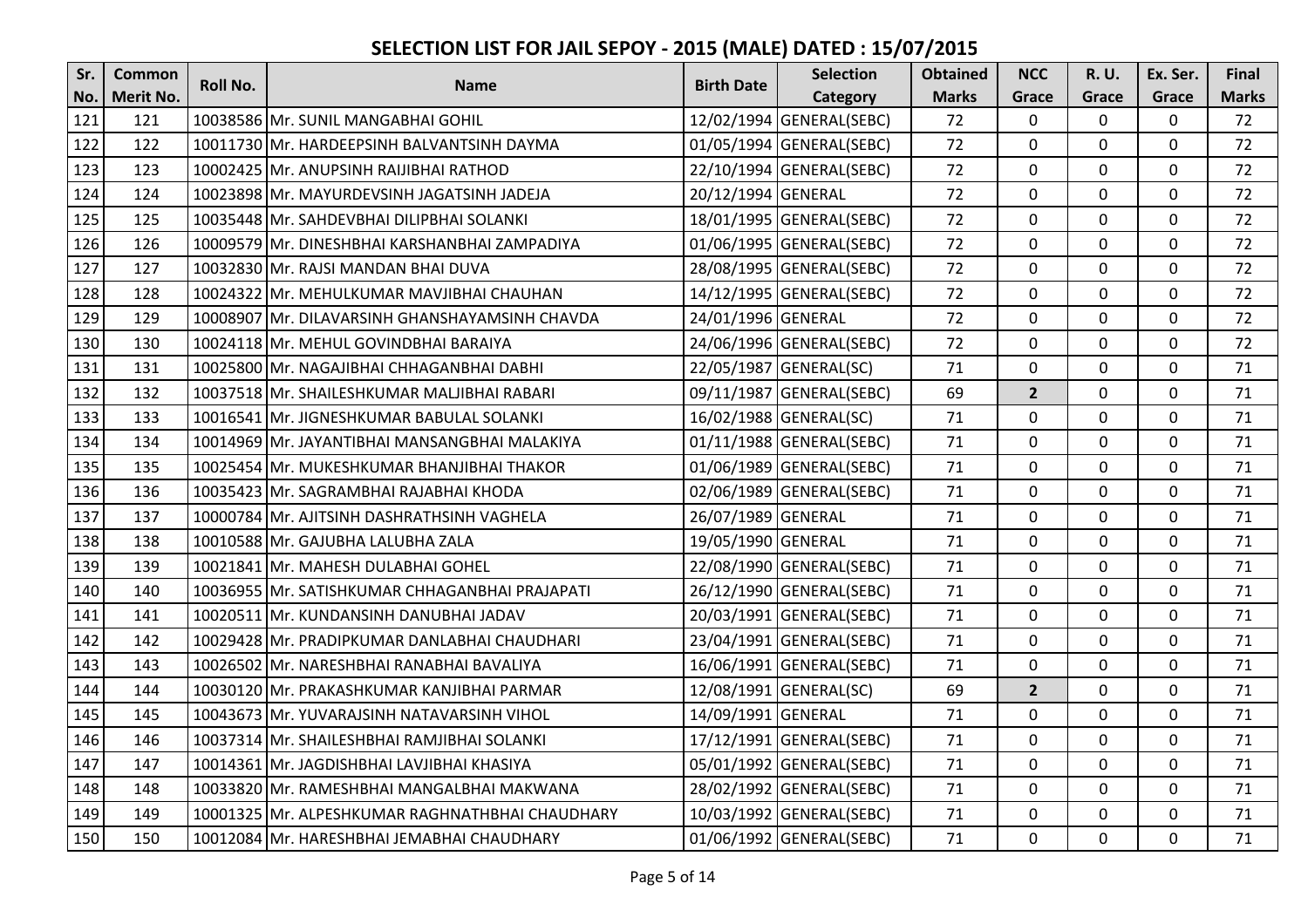| Sr. | <b>Common</b>    | Roll No. | <b>Name</b>                                     | <b>Birth Date</b>  | <b>Selection</b>         | <b>Obtained</b> | <b>NCC</b>     | R. U.        | Ex. Ser.    | Final        |
|-----|------------------|----------|-------------------------------------------------|--------------------|--------------------------|-----------------|----------------|--------------|-------------|--------------|
| No. | <b>Merit No.</b> |          |                                                 |                    | Category                 | <b>Marks</b>    | Grace          | Grace        | Grace       | <b>Marks</b> |
| 121 | 121              |          | 10038586 Mr. SUNIL MANGABHAI GOHIL              |                    | 12/02/1994 GENERAL(SEBC) | 72              | $\mathbf 0$    | $\mathbf 0$  | 0           | 72           |
| 122 | 122              |          | 10011730 Mr. HARDEEPSINH BALVANTSINH DAYMA      |                    | 01/05/1994 GENERAL(SEBC) | 72              | $\mathbf 0$    | $\mathbf{0}$ | $\mathbf 0$ | 72           |
| 123 | 123              |          | 10002425 Mr. ANUPSINH RAIJIBHAI RATHOD          |                    | 22/10/1994 GENERAL(SEBC) | 72              | $\mathbf 0$    | $\mathbf 0$  | $\mathbf 0$ | 72           |
| 124 | 124              |          | 10023898 Mr. MAYURDEVSINH JAGATSINH JADEJA      | 20/12/1994 GENERAL |                          | 72              | 0              | 0            | 0           | 72           |
| 125 | 125              |          | 10035448 Mr. SAHDEVBHAI DILIPBHAI SOLANKI       |                    | 18/01/1995 GENERAL(SEBC) | 72              | $\mathbf{0}$   | $\mathbf{0}$ | $\mathbf 0$ | 72           |
| 126 | 126              |          | 10009579 Mr. DINESHBHAI KARSHANBHAI ZAMPADIYA   |                    | 01/06/1995 GENERAL(SEBC) | 72              | $\Omega$       | $\mathbf{0}$ | 0           | 72           |
| 127 | 127              |          | 10032830 Mr. RAJSI MANDAN BHAI DUVA             |                    | 28/08/1995 GENERAL(SEBC) | 72              | $\mathbf{0}$   | 0            | 0           | 72           |
| 128 | 128              |          | 10024322 Mr. MEHULKUMAR MAVJIBHAI CHAUHAN       |                    | 14/12/1995 GENERAL(SEBC) | 72              | $\mathbf 0$    | $\mathbf 0$  | $\mathbf 0$ | 72           |
| 129 | 129              |          | 10008907 Mr. DILAVARSINH GHANSHAYAMSINH CHAVDA  | 24/01/1996 GENERAL |                          | 72              | $\Omega$       | $\mathbf{0}$ | 0           | 72           |
| 130 | 130              |          | 10024118 Mr. MEHUL GOVINDBHAI BARAIYA           |                    | 24/06/1996 GENERAL(SEBC) | 72              | $\mathbf 0$    | $\mathbf 0$  | $\mathbf 0$ | 72           |
| 131 | 131              |          | 10025800 Mr. NAGAJIBHAI CHHAGANBHAI DABHI       |                    | 22/05/1987 GENERAL(SC)   | 71              | $\mathbf{0}$   | $\mathbf 0$  | $\mathbf 0$ | 71           |
| 132 | 132              |          | 10037518 Mr. SHAILESHKUMAR MALJIBHAI RABARI     |                    | 09/11/1987 GENERAL(SEBC) | 69              | $\overline{2}$ | $\Omega$     | 0           | 71           |
| 133 | 133              |          | 10016541 Mr. JIGNESHKUMAR BABULAL SOLANKI       |                    | 16/02/1988 GENERAL(SC)   | 71              | $\mathbf{0}$   | $\mathbf 0$  | $\mathbf 0$ | 71           |
| 134 | 134              |          | 10014969 Mr. JAYANTIBHAI MANSANGBHAI MALAKIYA   |                    | 01/11/1988 GENERAL(SEBC) | 71              | $\mathbf{0}$   | $\Omega$     | 0           | 71           |
| 135 | 135              |          | 10025454 Mr. MUKESHKUMAR BHANJIBHAI THAKOR      |                    | 01/06/1989 GENERAL(SEBC) | 71              | $\mathbf 0$    | $\mathbf{0}$ | $\mathbf 0$ | 71           |
| 136 | 136              |          | 10035423 Mr. SAGRAMBHAI RAJABHAI KHODA          |                    | 02/06/1989 GENERAL(SEBC) | 71              | $\mathbf 0$    | $\mathbf 0$  | $\mathbf 0$ | 71           |
| 137 | 137              |          | 10000784 Mr. AJITSINH DASHRATHSINH VAGHELA      | 26/07/1989 GENERAL |                          | 71              | $\mathbf 0$    | $\mathbf 0$  | $\mathbf 0$ | 71           |
| 138 | 138              |          | 10010588 Mr. GAJUBHA LALUBHA ZALA               | 19/05/1990 GENERAL |                          | 71              | $\mathbf 0$    | $\mathbf 0$  | $\mathbf 0$ | 71           |
| 139 | 139              |          | 10021841 Mr. MAHESH DULABHAI GOHEL              |                    | 22/08/1990 GENERAL(SEBC) | 71              | $\Omega$       | $\mathbf{0}$ | $\mathbf 0$ | 71           |
| 140 | 140              |          | 10036955 Mr. SATISHKUMAR CHHAGANBHAI PRAJAPATI  |                    | 26/12/1990 GENERAL(SEBC) | 71              | $\mathbf 0$    | 0            | $\mathbf 0$ | 71           |
| 141 | 141              |          | 10020511 Mr. KUNDANSINH DANUBHAI JADAV          |                    | 20/03/1991 GENERAL(SEBC) | 71              | $\mathbf 0$    | $\mathbf 0$  | $\mathbf 0$ | 71           |
| 142 | 142              |          | 10029428 Mr. PRADIPKUMAR DANLABHAI CHAUDHARI    |                    | 23/04/1991 GENERAL(SEBC) | 71              | $\Omega$       | 0            | $\mathbf 0$ | 71           |
| 143 | 143              |          | 10026502 Mr. NARESHBHAI RANABHAI BAVALIYA       |                    | 16/06/1991 GENERAL(SEBC) | 71              | $\mathbf 0$    | $\mathbf 0$  | $\mathbf 0$ | 71           |
| 144 | 144              |          | 10030120 Mr. PRAKASHKUMAR KANJIBHAI PARMAR      |                    | 12/08/1991 GENERAL(SC)   | 69              | 2 <sup>2</sup> | $\mathbf 0$  | $\mathbf 0$ | 71           |
| 145 | 145              |          | 10043673 Mr. YUVARAJSINH NATAVARSINH VIHOL      | 14/09/1991 GENERAL |                          | 71              | $\mathbf 0$    | 0            | $\mathbf 0$ | 71           |
| 146 | 146              |          | 10037314 Mr. SHAILESHBHAI RAMJIBHAI SOLANKI     |                    | 17/12/1991 GENERAL(SEBC) | 71              | $\mathbf 0$    | $\mathbf 0$  | $\mathbf 0$ | 71           |
| 147 | 147              |          | 10014361 Mr. JAGDISHBHAI LAVJIBHAI KHASIYA      |                    | 05/01/1992 GENERAL(SEBC) | 71              | $\mathbf 0$    | $\mathbf 0$  | $\mathbf 0$ | 71           |
| 148 | 148              |          | 10033820 Mr. RAMESHBHAI MANGALBHAI MAKWANA      |                    | 28/02/1992 GENERAL(SEBC) | 71              | $\mathbf{0}$   | $\mathbf 0$  | $\mathbf 0$ | 71           |
| 149 | 149              |          | 10001325 Mr. ALPESHKUMAR RAGHNATHBHAI CHAUDHARY |                    | 10/03/1992 GENERAL(SEBC) | 71              | $\mathbf{0}$   | $\mathbf 0$  | $\mathbf 0$ | 71           |
| 150 | 150              |          | 10012084 Mr. HARESHBHAI JEMABHAI CHAUDHARY      |                    | 01/06/1992 GENERAL(SEBC) | 71              | $\mathbf{0}$   | $\mathbf 0$  | $\mathbf 0$ | 71           |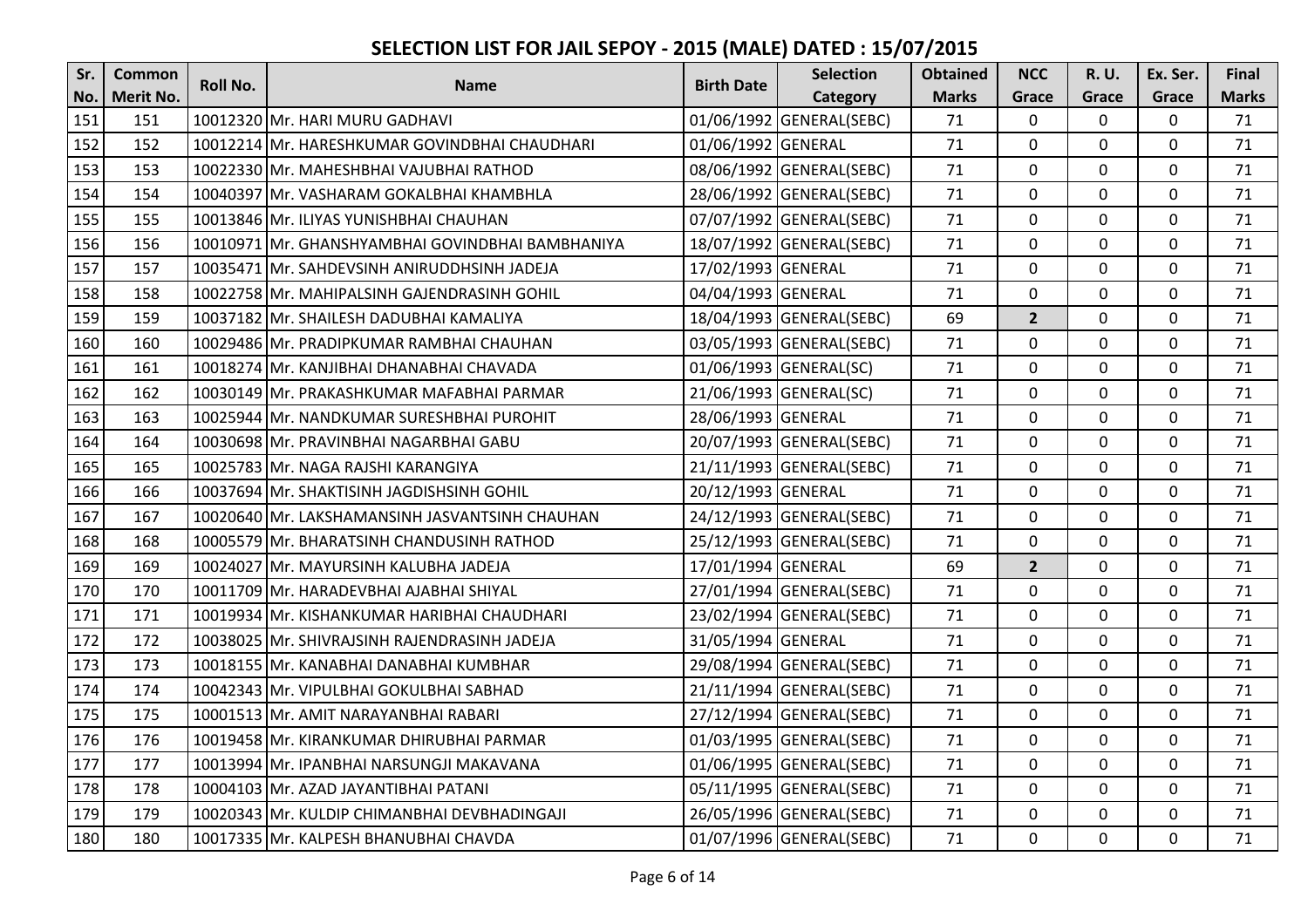| Sr. | <b>Common</b>    | Roll No. | <b>Name</b>                                      | <b>Birth Date</b>  | <b>Selection</b>         | <b>Obtained</b> | <b>NCC</b>     | <b>R.U.</b>    | Ex. Ser.       | Final        |
|-----|------------------|----------|--------------------------------------------------|--------------------|--------------------------|-----------------|----------------|----------------|----------------|--------------|
| No. | <b>Merit No.</b> |          |                                                  |                    | Category                 | <b>Marks</b>    | Grace          | Grace          | Grace          | <b>Marks</b> |
| 151 | 151              |          | 10012320 Mr. HARI MURU GADHAVI                   |                    | 01/06/1992 GENERAL(SEBC) | 71              | $\mathbf 0$    | 0              | $\mathbf 0$    | 71           |
| 152 | 152              |          | 10012214 Mr. HARESHKUMAR GOVINDBHAI CHAUDHARI    | 01/06/1992 GENERAL |                          | 71              | $\mathbf 0$    | $\mathbf 0$    | $\mathbf{0}$   | 71           |
| 153 | 153              |          | 10022330 Mr. MAHESHBHAI VAJUBHAI RATHOD          |                    | 08/06/1992 GENERAL(SEBC) | 71              | $\mathbf 0$    | $\mathbf 0$    | $\mathbf 0$    | 71           |
| 154 | 154              |          | 10040397 Mr. VASHARAM GOKALBHAI KHAMBHLA         |                    | 28/06/1992 GENERAL(SEBC) | 71              | 0              | 0              | 0              | 71           |
| 155 | 155              |          | 10013846 Mr. ILIYAS YUNISHBHAI CHAUHAN           |                    | 07/07/1992 GENERAL(SEBC) | 71              | $\mathbf 0$    | $\mathbf 0$    | $\mathbf{0}$   | 71           |
| 156 | 156              |          | 10010971 Mr. GHANSHYAMBHAI GOVINDBHAI BAMBHANIYA |                    | 18/07/1992 GENERAL(SEBC) | 71              | $\mathbf 0$    | 0              | $\mathbf 0$    | 71           |
| 157 | 157              |          | 10035471 Mr. SAHDEVSINH ANIRUDDHSINH JADEJA      | 17/02/1993 GENERAL |                          | 71              | $\mathbf 0$    | 0              | $\mathbf 0$    | 71           |
| 158 | 158              |          | 10022758 Mr. MAHIPALSINH GAJENDRASINH GOHIL      | 04/04/1993 GENERAL |                          | 71              | $\mathbf{0}$   | 0              | $\mathbf 0$    | 71           |
| 159 | 159              |          | 10037182 Mr. SHAILESH DADUBHAI KAMALIYA          |                    | 18/04/1993 GENERAL(SEBC) | 69              | $\overline{2}$ | $\Omega$       | $\mathbf 0$    | 71           |
| 160 | 160              |          | 10029486 Mr. PRADIPKUMAR RAMBHAI CHAUHAN         |                    | 03/05/1993 GENERAL(SEBC) | 71              | $\mathbf 0$    | 0              | $\mathbf 0$    | 71           |
| 161 | 161              |          | 10018274 Mr. KANJIBHAI DHANABHAI CHAVADA         |                    | 01/06/1993 GENERAL(SC)   | 71              | $\mathbf 0$    | 0              | $\mathbf 0$    | 71           |
| 162 | 162              |          | 10030149 Mr. PRAKASHKUMAR MAFABHAI PARMAR        |                    | 21/06/1993 GENERAL(SC)   | 71              | $\Omega$       | 0              | 0              | 71           |
| 163 | 163              |          | 10025944 Mr. NANDKUMAR SURESHBHAI PUROHIT        | 28/06/1993 GENERAL |                          | 71              | $\mathbf{0}$   | $\mathbf 0$    | $\mathbf 0$    | 71           |
| 164 | 164              |          | 10030698 Mr. PRAVINBHAI NAGARBHAI GABU           |                    | 20/07/1993 GENERAL(SEBC) | 71              | $\mathbf{0}$   | $\Omega$       | $\mathbf 0$    | 71           |
| 165 | 165              |          | 10025783 Mr. NAGA RAJSHI KARANGIYA               |                    | 21/11/1993 GENERAL(SEBC) | 71              | 0              | 0              | $\mathbf 0$    | 71           |
| 166 | 166              |          | 10037694 Mr. SHAKTISINH JAGDISHSINH GOHIL        | 20/12/1993 GENERAL |                          | 71              | 0              | 0              | $\mathbf 0$    | 71           |
| 167 | 167              |          | 10020640 Mr. LAKSHAMANSINH JASVANTSINH CHAUHAN   |                    | 24/12/1993 GENERAL(SEBC) | 71              | $\mathbf{0}$   | $\Omega$       | $\mathbf 0$    | 71           |
| 168 | 168              |          | 10005579 Mr. BHARATSINH CHANDUSINH RATHOD        |                    | 25/12/1993 GENERAL(SEBC) | 71              | 0              | $\Omega$       | $\mathbf 0$    | 71           |
| 169 | 169              |          | 10024027 Mr. MAYURSINH KALUBHA JADEJA            | 17/01/1994 GENERAL |                          | 69              | $\overline{2}$ | $\mathbf{0}$   | $\overline{0}$ | 71           |
| 170 | 170              |          | 10011709 Mr. HARADEVBHAI AJABHAI SHIYAL          |                    | 27/01/1994 GENERAL(SEBC) | 71              | $\mathbf 0$    | $\Omega$       | $\mathbf 0$    | 71           |
| 171 | 171              |          | 10019934 Mr. KISHANKUMAR HARIBHAI CHAUDHARI      |                    | 23/02/1994 GENERAL(SEBC) | 71              | $\mathbf 0$    | 0              | $\mathbf 0$    | 71           |
| 172 | 172              |          | 10038025 Mr. SHIVRAJSINH RAJENDRASINH JADEJA     | 31/05/1994 GENERAL |                          | 71              | $\Omega$       | 0              | $\mathbf 0$    | 71           |
| 173 | 173              |          | 10018155 Mr. KANABHAI DANABHAI KUMBHAR           |                    | 29/08/1994 GENERAL(SEBC) | 71              | $\mathbf 0$    | $\mathbf 0$    | $\mathbf 0$    | 71           |
| 174 | 174              |          | 10042343 Mr. VIPULBHAI GOKULBHAI SABHAD          |                    | 21/11/1994 GENERAL(SEBC) | 71              | 0              | 0              | $\mathbf 0$    | 71           |
| 175 | 175              |          | 10001513 Mr. AMIT NARAYANBHAI RABARI             |                    | 27/12/1994 GENERAL(SEBC) | 71              | $\mathbf 0$    | 0              | $\mathbf 0$    | 71           |
| 176 | 176              |          | 10019458 Mr. KIRANKUMAR DHIRUBHAI PARMAR         |                    | 01/03/1995 GENERAL(SEBC) | 71              | $\mathbf 0$    | $\mathbf 0$    | $\mathbf 0$    | 71           |
| 177 | 177              |          | 10013994 Mr. IPANBHAI NARSUNGJI MAKAVANA         |                    | 01/06/1995 GENERAL(SEBC) | 71              | $\mathbf 0$    | 0              | $\mathbf 0$    | 71           |
| 178 | 178              |          | 10004103 Mr. AZAD JAYANTIBHAI PATANI             |                    | 05/11/1995 GENERAL(SEBC) | 71              | $\mathbf 0$    | $\mathbf 0$    | $\mathbf 0$    | 71           |
| 179 | 179              |          | 10020343 Mr. KULDIP CHIMANBHAI DEVBHADINGAJI     |                    | 26/05/1996 GENERAL(SEBC) | 71              | $\mathbf 0$    | $\mathbf 0$    | $\mathbf 0$    | 71           |
| 180 | 180              |          | 10017335 Mr. KALPESH BHANUBHAI CHAVDA            |                    | 01/07/1996 GENERAL(SEBC) | 71              | $\mathbf 0$    | $\overline{0}$ | $\mathbf 0$    | 71           |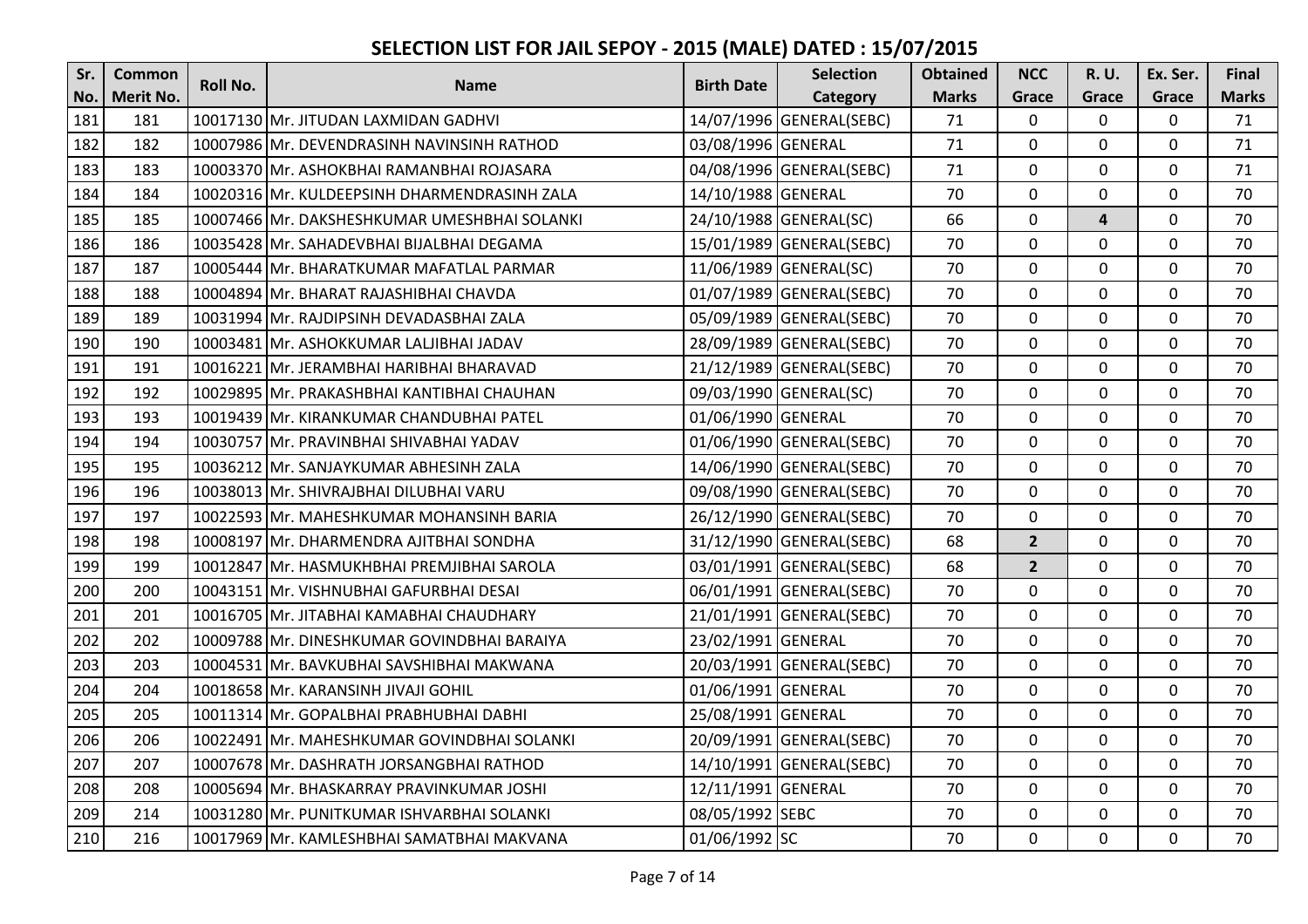| Sr. | <b>Common</b>    | Roll No. | <b>Name</b>                                  | <b>Birth Date</b>  | <b>Selection</b>         | <b>Obtained</b> | <b>NCC</b>     | <b>R.U.</b>  | Ex. Ser.    | Final        |
|-----|------------------|----------|----------------------------------------------|--------------------|--------------------------|-----------------|----------------|--------------|-------------|--------------|
| No. | <b>Merit No.</b> |          |                                              |                    | Category                 | <b>Marks</b>    | Grace          | Grace        | Grace       | <b>Marks</b> |
| 181 | 181              |          | 10017130 Mr. JITUDAN LAXMIDAN GADHVI         |                    | 14/07/1996 GENERAL(SEBC) | 71              | $\mathbf 0$    | $\Omega$     | $\mathbf 0$ | 71           |
| 182 | 182              |          | 10007986 Mr. DEVENDRASINH NAVINSINH RATHOD   | 03/08/1996 GENERAL |                          | 71              | 0              | 0            | $\mathbf 0$ | 71           |
| 183 | 183              |          | 10003370 Mr. ASHOKBHAI RAMANBHAI ROJASARA    |                    | 04/08/1996 GENERAL(SEBC) | 71              | $\Omega$       | 0            | 0           | 71           |
| 184 | 184              |          | 10020316 Mr. KULDEEPSINH DHARMENDRASINH ZALA | 14/10/1988 GENERAL |                          | 70              | 0              | 0            | $\mathbf 0$ | 70           |
| 185 | 185              |          | 10007466 Mr. DAKSHESHKUMAR UMESHBHAI SOLANKI |                    | 24/10/1988 GENERAL(SC)   | 66              | $\overline{0}$ | 4            | $\mathbf 0$ | 70           |
| 186 | 186              |          | 10035428 Mr. SAHADEVBHAI BIJALBHAI DEGAMA    |                    | 15/01/1989 GENERAL(SEBC) | 70              | 0              | $\Omega$     | $\mathbf 0$ | 70           |
| 187 | 187              |          | 10005444 Mr. BHARATKUMAR MAFATLAL PARMAR     |                    | 11/06/1989 GENERAL(SC)   | 70              | $\mathbf 0$    | $\mathbf 0$  | $\mathbf 0$ | 70           |
| 188 | 188              |          | 10004894 Mr. BHARAT RAJASHIBHAI CHAVDA       |                    | 01/07/1989 GENERAL(SEBC) | 70              | 0              | 0            | $\mathbf 0$ | 70           |
| 189 | 189              |          | 10031994 Mr. RAJDIPSINH DEVADASBHAI ZALA     |                    | 05/09/1989 GENERAL(SEBC) | 70              | 0              | 0            | $\mathbf 0$ | 70           |
| 190 | 190              |          | 10003481 Mr. ASHOKKUMAR LALJIBHAI JADAV      |                    | 28/09/1989 GENERAL(SEBC) | 70              | $\overline{0}$ | $\mathbf 0$  | $\mathbf 0$ | 70           |
| 191 | 191              |          | 10016221 Mr. JERAMBHAI HARIBHAI BHARAVAD     |                    | 21/12/1989 GENERAL(SEBC) | 70              | $\mathbf 0$    | $\mathbf 0$  | $\mathbf 0$ | 70           |
| 192 | 192              |          | 10029895 Mr. PRAKASHBHAI KANTIBHAI CHAUHAN   |                    | 09/03/1990 GENERAL(SC)   | 70              | 0              | 0            | $\mathbf 0$ | 70           |
| 193 | 193              |          | 10019439 Mr. KIRANKUMAR CHANDUBHAI PATEL     | 01/06/1990 GENERAL |                          | 70              | $\mathbf 0$    | $\mathbf 0$  | $\mathbf 0$ | 70           |
| 194 | 194              |          | 10030757 Mr. PRAVINBHAI SHIVABHAI YADAV      |                    | 01/06/1990 GENERAL(SEBC) | 70              | $\mathbf 0$    | 0            | $\mathbf 0$ | 70           |
| 195 | 195              |          | 10036212 Mr. SANJAYKUMAR ABHESINH ZALA       |                    | 14/06/1990 GENERAL(SEBC) | 70              | $\mathbf 0$    | $\mathbf 0$  | $\mathbf 0$ | 70           |
| 196 | 196              |          | 10038013 Mr. SHIVRAJBHAI DILUBHAI VARU       |                    | 09/08/1990 GENERAL(SEBC) | 70              | $\overline{0}$ | $\Omega$     | $\mathbf 0$ | 70           |
| 197 | 197              |          | 10022593 Mr. MAHESHKUMAR MOHANSINH BARIA     |                    | 26/12/1990 GENERAL(SEBC) | 70              | $\mathbf 0$    | 0            | $\mathbf 0$ | 70           |
| 198 | 198              |          | 10008197 Mr. DHARMENDRA AJITBHAI SONDHA      |                    | 31/12/1990 GENERAL(SEBC) | 68              | $\overline{2}$ | $\Omega$     | 0           | 70           |
| 199 | 199              |          | 10012847 Mr. HASMUKHBHAI PREMJIBHAI SAROLA   |                    | 03/01/1991 GENERAL(SEBC) | 68              | $\overline{2}$ | $\mathbf{0}$ | $\mathbf 0$ | 70           |
| 200 | 200              |          | 10043151 Mr. VISHNUBHAI GAFURBHAI DESAI      |                    | 06/01/1991 GENERAL(SEBC) | 70              | 0              | 0            | $\mathbf 0$ | 70           |
| 201 | 201              |          | 10016705 Mr. JITABHAI KAMABHAI CHAUDHARY     |                    | 21/01/1991 GENERAL(SEBC) | 70              | $\mathbf 0$    | 0            | $\mathbf 0$ | 70           |
| 202 | 202              |          | 10009788 Mr. DINESHKUMAR GOVINDBHAI BARAIYA  | 23/02/1991 GENERAL |                          | 70              | $\Omega$       | 0            | $\mathbf 0$ | 70           |
| 203 | 203              |          | 10004531 Mr. BAVKUBHAI SAVSHIBHAI MAKWANA    |                    | 20/03/1991 GENERAL(SEBC) | 70              | $\overline{0}$ | $\mathbf 0$  | $\mathbf 0$ | 70           |
| 204 | 204              |          | 10018658 Mr. KARANSINH JIVAJI GOHIL          | 01/06/1991 GENERAL |                          | 70              | $\mathbf{0}$   | 0            | $\mathbf 0$ | 70           |
| 205 | 205              |          | 10011314 Mr. GOPALBHAI PRABHUBHAI DABHI      | 25/08/1991 GENERAL |                          | 70              | 0              | 0            | $\mathbf 0$ | 70           |
| 206 | 206              |          | 10022491 Mr. MAHESHKUMAR GOVINDBHAI SOLANKI  |                    | 20/09/1991 GENERAL(SEBC) | 70              | $\mathbf 0$    | $\Omega$     | $\mathbf 0$ | 70           |
| 207 | 207              |          | 10007678 Mr. DASHRATH JORSANGBHAI RATHOD     |                    | 14/10/1991 GENERAL(SEBC) | 70              | 0              | 0            | $\mathbf 0$ | 70           |
| 208 | 208              |          | 10005694 Mr. BHASKARRAY PRAVINKUMAR JOSHI    | 12/11/1991 GENERAL |                          | 70              | $\Omega$       | $\mathbf 0$  | $\mathbf 0$ | 70           |
| 209 | 214              |          | 10031280 Mr. PUNITKUMAR ISHVARBHAI SOLANKI   | 08/05/1992 SEBC    |                          | 70              | $\mathbf 0$    | $\mathbf 0$  | $\mathbf 0$ | 70           |
| 210 | 216              |          | 10017969 Mr. KAMLESHBHAI SAMATBHAI MAKVANA   | 01/06/1992 SC      |                          | 70              | $\mathbf 0$    | $\mathbf 0$  | $\mathbf 0$ | 70           |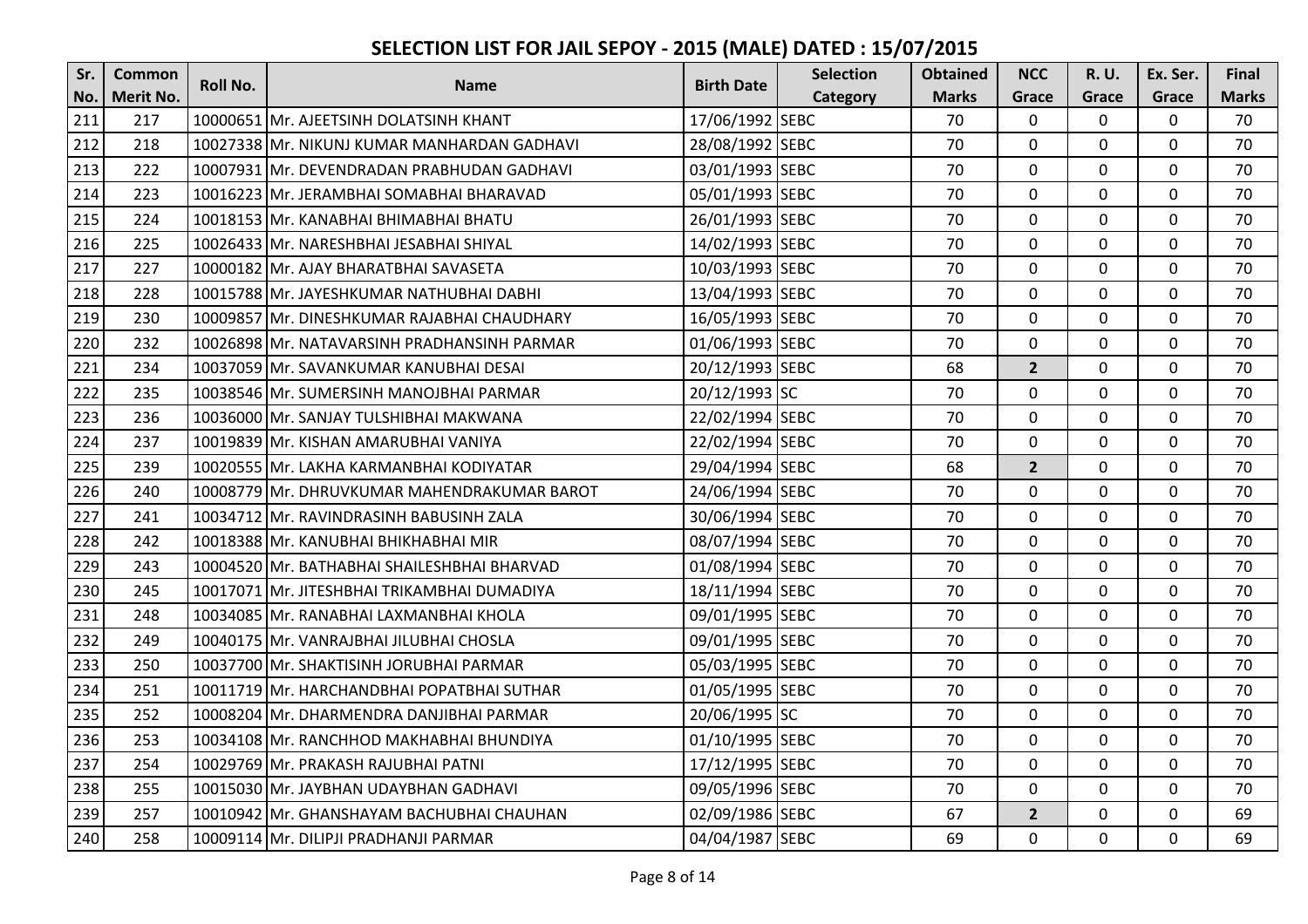| Sr. | <b>Common</b>    | <b>Roll No.</b> |                                             |                   | <b>Selection</b> | <b>Obtained</b> | <b>NCC</b>     | <b>R.U.</b>  | Ex. Ser.     | Final        |
|-----|------------------|-----------------|---------------------------------------------|-------------------|------------------|-----------------|----------------|--------------|--------------|--------------|
| No. | <b>Merit No.</b> |                 | <b>Name</b>                                 | <b>Birth Date</b> | Category         | <b>Marks</b>    | Grace          | Grace        | Grace        | <b>Marks</b> |
| 211 | 217              |                 | 10000651 Mr. AJEETSINH DOLATSINH KHANT      | 17/06/1992 SEBC   |                  | 70              | $\Omega$       | 0            | $\mathbf 0$  | 70           |
| 212 | 218              |                 | 10027338 Mr. NIKUNJ KUMAR MANHARDAN GADHAVI | 28/08/1992 SEBC   |                  | 70              | $\mathbf{0}$   | $\Omega$     | $\mathbf 0$  | 70           |
| 213 | 222              |                 | 10007931 Mr. DEVENDRADAN PRABHUDAN GADHAVI  | 03/01/1993 SEBC   |                  | 70              | $\Omega$       | $\Omega$     | 0            | 70           |
| 214 | 223              |                 | 10016223 Mr. JERAMBHAI SOMABHAI BHARAVAD    | 05/01/1993 SEBC   |                  | 70              | $\mathbf 0$    | $\mathbf 0$  | 0            | 70           |
| 215 | 224              |                 | 10018153 Mr. KANABHAI BHIMABHAI BHATU       | 26/01/1993 SEBC   |                  | 70              | $\mathbf{0}$   | $\mathbf 0$  | $\mathbf 0$  | 70           |
| 216 | 225              |                 | 10026433 Mr. NARESHBHAI JESABHAI SHIYAL     | 14/02/1993 SEBC   |                  | 70              | $\Omega$       | $\Omega$     | 0            | 70           |
| 217 | 227              |                 | 10000182 Mr. AJAY BHARATBHAI SAVASETA       | 10/03/1993 SEBC   |                  | 70              | $\mathbf 0$    | $\mathbf 0$  | $\mathbf 0$  | 70           |
| 218 | 228              |                 | 10015788 Mr. JAYESHKUMAR NATHUBHAI DABHI    | 13/04/1993 SEBC   |                  | 70              | $\mathbf{0}$   | $\mathbf 0$  | $\mathbf{0}$ | 70           |
| 219 | 230              |                 | 10009857 Mr. DINESHKUMAR RAJABHAI CHAUDHARY | 16/05/1993 SEBC   |                  | 70              | $\mathbf 0$    | 0            | $\mathbf 0$  | 70           |
| 220 | 232              |                 | 10026898 Mr. NATAVARSINH PRADHANSINH PARMAR | 01/06/1993 SEBC   |                  | 70              | $\mathbf{0}$   | $\mathbf 0$  | $\mathbf 0$  | 70           |
| 221 | 234              |                 | 10037059 Mr. SAVANKUMAR KANUBHAI DESAI      | 20/12/1993 SEBC   |                  | 68              | $\overline{2}$ | 0            | $\mathbf 0$  | 70           |
| 222 | 235              |                 | 10038546 Mr. SUMERSINH MANOJBHAI PARMAR     | 20/12/1993 SC     |                  | 70              | $\Omega$       | $\mathbf 0$  | $\mathbf 0$  | 70           |
| 223 | 236              |                 | 10036000 Mr. SANJAY TULSHIBHAI MAKWANA      | 22/02/1994 SEBC   |                  | 70              | $\mathbf{0}$   | $\mathbf 0$  | $\mathbf 0$  | 70           |
| 224 | 237              |                 | 10019839 Mr. KISHAN AMARUBHAI VANIYA        | 22/02/1994 SEBC   |                  | 70              | $\mathbf 0$    | 0            | $\mathbf 0$  | 70           |
| 225 | 239              |                 | 10020555 Mr. LAKHA KARMANBHAI KODIYATAR     | 29/04/1994 SEBC   |                  | 68              | $\overline{2}$ | $\mathbf 0$  | $\mathbf 0$  | 70           |
| 226 | 240              |                 | 10008779 Mr. DHRUVKUMAR MAHENDRAKUMAR BAROT | 24/06/1994 SEBC   |                  | 70              | $\mathbf 0$    | 0            | 0            | 70           |
| 227 | 241              |                 | 10034712 Mr. RAVINDRASINH BABUSINH ZALA     | 30/06/1994 SEBC   |                  | 70              | $\mathbf{0}$   | 0            | 0            | 70           |
| 228 | 242              |                 | 10018388 Mr. KANUBHAI BHIKHABHAI MIR        | 08/07/1994 SEBC   |                  | 70              | $\mathbf{0}$   | $\Omega$     | 0            | 70           |
| 229 | 243              |                 | 10004520 Mr. BATHABHAI SHAILESHBHAI BHARVAD | 01/08/1994 SEBC   |                  | 70              | $\Omega$       | $\mathbf{0}$ | $\mathbf{0}$ | 70           |
| 230 | 245              |                 | 10017071 Mr. JITESHBHAI TRIKAMBHAI DUMADIYA | 18/11/1994 SEBC   |                  | 70              | $\mathbf 0$    | 0            | 0            | 70           |
| 231 | 248              |                 | 10034085 Mr. RANABHAI LAXMANBHAI KHOLA      | 09/01/1995 SEBC   |                  | 70              | $\mathbf 0$    | $\Omega$     | 0            | 70           |
| 232 | 249              |                 | 10040175 Mr. VANRAJBHAI JILUBHAI CHOSLA     | 09/01/1995 SEBC   |                  | 70              | $\Omega$       | $\Omega$     | $\mathbf{0}$ | 70           |
| 233 | 250              |                 | 10037700 Mr. SHAKTISINH JORUBHAI PARMAR     | 05/03/1995 SEBC   |                  | 70              | $\mathbf{0}$   | $\mathbf 0$  | $\mathbf 0$  | 70           |
| 234 | 251              |                 | 10011719 Mr. HARCHANDBHAI POPATBHAI SUTHAR  | 01/05/1995 SEBC   |                  | 70              | $\mathbf{0}$   | $\mathbf 0$  | $\mathbf 0$  | 70           |
| 235 | 252              |                 | 10008204 Mr. DHARMENDRA DANJIBHAI PARMAR    | 20/06/1995 SC     |                  | 70              | $\mathbf 0$    | 0            | $\mathbf 0$  | 70           |
| 236 | 253              |                 | 10034108 Mr. RANCHHOD MAKHABHAI BHUNDIYA    | 01/10/1995 SEBC   |                  | 70              | $\mathbf 0$    | $\mathbf 0$  | $\mathbf 0$  | 70           |
| 237 | 254              |                 | 10029769 Mr. PRAKASH RAJUBHAI PATNI         | 17/12/1995 SEBC   |                  | 70              | $\mathbf 0$    | $\mathbf 0$  | $\mathbf 0$  | 70           |
| 238 | 255              |                 | 10015030 Mr. JAYBHAN UDAYBHAN GADHAVI       | 09/05/1996 SEBC   |                  | 70              | $\Omega$       | $\mathbf 0$  | $\mathbf 0$  | 70           |
| 239 | 257              |                 | 10010942 Mr. GHANSHAYAM BACHUBHAI CHAUHAN   | 02/09/1986 SEBC   |                  | 67              | $\overline{2}$ | $\mathbf 0$  | $\mathbf 0$  | 69           |
| 240 | 258              |                 | 10009114 Mr. DILIPJI PRADHANJI PARMAR       | 04/04/1987 SEBC   |                  | 69              | $\mathbf{0}$   | $\mathbf 0$  | $\mathbf 0$  | 69           |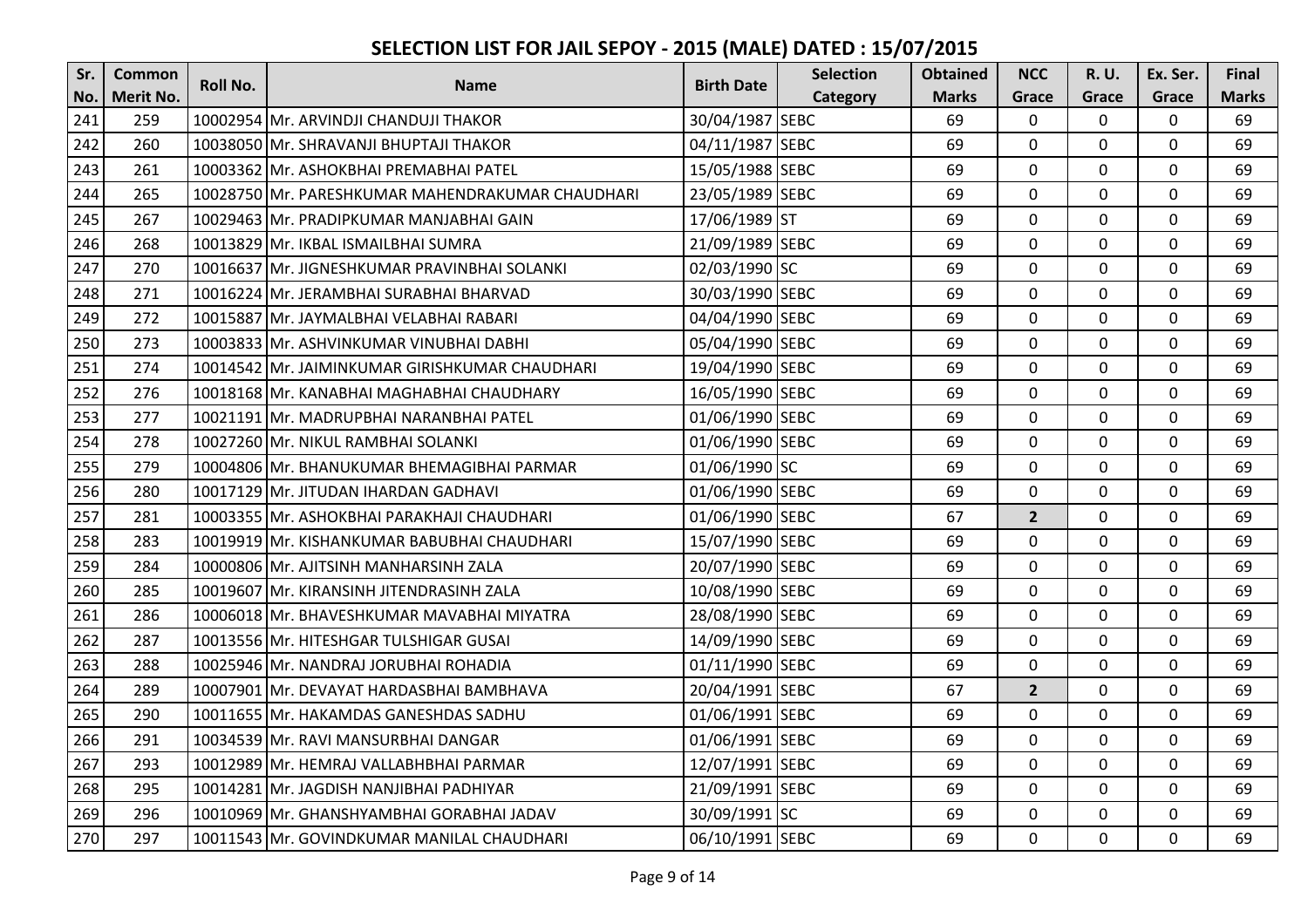| Sr. | <b>Common</b>    | <b>Roll No.</b> |                                                  | <b>Birth Date</b> | <b>Selection</b> | <b>Obtained</b> | <b>NCC</b>     | <b>R.U.</b>    | Ex. Ser.    | Final        |
|-----|------------------|-----------------|--------------------------------------------------|-------------------|------------------|-----------------|----------------|----------------|-------------|--------------|
| No. | <b>Merit No.</b> |                 | <b>Name</b>                                      |                   | Category         | <b>Marks</b>    | Grace          | Grace          | Grace       | <b>Marks</b> |
| 241 | 259              |                 | 10002954 Mr. ARVINDJI CHANDUJI THAKOR            | 30/04/1987 SEBC   |                  | 69              | $\mathbf 0$    | $\Omega$       | $\mathbf 0$ | 69           |
| 242 | 260              |                 | 10038050 Mr. SHRAVANJI BHUPTAJI THAKOR           | 04/11/1987 SEBC   |                  | 69              | $\mathbf 0$    | $\Omega$       | $\mathbf 0$ | 69           |
| 243 | 261              |                 | 10003362 Mr. ASHOKBHAI PREMABHAI PATEL           | 15/05/1988 SEBC   |                  | 69              | $\Omega$       | $\Omega$       | 0           | 69           |
| 244 | 265              |                 | 10028750 Mr. PARESHKUMAR MAHENDRAKUMAR CHAUDHARI | 23/05/1989 SEBC   |                  | 69              | 0              | $\Omega$       | $\mathbf 0$ | 69           |
| 245 | 267              |                 | 10029463 Mr. PRADIPKUMAR MANJABHAI GAIN          | 17/06/1989 ST     |                  | 69              | $\mathbf 0$    | $\mathbf 0$    | $\mathbf 0$ | 69           |
| 246 | 268              |                 | 10013829 Mr. IKBAL ISMAILBHAI SUMRA              | 21/09/1989 SEBC   |                  | 69              | 0              | $\Omega$       | 0           | 69           |
| 247 | 270              |                 | 10016637 Mr. JIGNESHKUMAR PRAVINBHAI SOLANKI     | 02/03/1990 SC     |                  | 69              | $\mathbf 0$    | $\mathbf 0$    | $\mathbf 0$ | 69           |
| 248 | 271              |                 | 10016224 Mr. JERAMBHAI SURABHAI BHARVAD          | 30/03/1990 SEBC   |                  | 69              | $\mathbf{0}$   | $\Omega$       | $\mathbf 0$ | 69           |
| 249 | 272              |                 | 10015887 Mr. JAYMALBHAI VELABHAI RABARI          | 04/04/1990 SEBC   |                  | 69              | 0              | 0              | $\mathbf 0$ | 69           |
| 250 | 273              |                 | 10003833 Mr. ASHVINKUMAR VINUBHAI DABHI          | 05/04/1990 SEBC   |                  | 69              | $\overline{0}$ | $\mathbf 0$    | $\mathbf 0$ | 69           |
| 251 | 274              |                 | 10014542 Mr. JAIMINKUMAR GIRISHKUMAR CHAUDHARI   | 19/04/1990 SEBC   |                  | 69              | $\Omega$       | $\mathbf 0$    | $\mathbf 0$ | 69           |
| 252 | 276              |                 | 10018168 Mr. KANABHAI MAGHABHAI CHAUDHARY        | 16/05/1990 SEBC   |                  | 69              | 0              | 0              | $\mathbf 0$ | 69           |
| 253 | 277              |                 | 10021191 Mr. MADRUPBHAI NARANBHAI PATEL          | 01/06/1990 SEBC   |                  | 69              | $\mathbf 0$    | $\mathbf 0$    | $\mathbf 0$ | 69           |
| 254 | 278              |                 | 10027260 Mr. NIKUL RAMBHAI SOLANKI               | 01/06/1990 SEBC   |                  | 69              | $\mathbf 0$    | 0              | $\mathbf 0$ | 69           |
| 255 | 279              |                 | 10004806 Mr. BHANUKUMAR BHEMAGIBHAI PARMAR       | 01/06/1990 SC     |                  | 69              | 0              | $\mathbf 0$    | $\mathbf 0$ | 69           |
| 256 | 280              |                 | 10017129 Mr. JITUDAN IHARDAN GADHAVI             | 01/06/1990 SEBC   |                  | 69              | $\mathbf 0$    | $\Omega$       | $\mathbf 0$ | 69           |
| 257 | 281              |                 | 10003355 Mr. ASHOKBHAI PARAKHAJI CHAUDHARI       | 01/06/1990 SEBC   |                  | 67              | $\overline{2}$ | $\mathbf 0$    | $\mathbf 0$ | 69           |
| 258 | 283              |                 | 10019919 Mr. KISHANKUMAR BABUBHAI CHAUDHARI      | 15/07/1990 SEBC   |                  | 69              | $\mathbf{0}$   | $\Omega$       | 0           | 69           |
| 259 | 284              |                 | 10000806 Mr. AJITSINH MANHARSINH ZALA            | 20/07/1990 SEBC   |                  | 69              | $\mathbf 0$    | $\Omega$       | $\mathbf 0$ | 69           |
| 260 | 285              |                 | 10019607 Mr. KIRANSINH JITENDRASINH ZALA         | 10/08/1990 SEBC   |                  | 69              | 0              | $\Omega$       | $\mathbf 0$ | 69           |
| 261 | 286              |                 | 10006018 Mr. BHAVESHKUMAR MAVABHAI MIYATRA       | 28/08/1990 SEBC   |                  | 69              | $\mathbf 0$    | 0              | 0           | 69           |
| 262 | 287              |                 | 10013556 Mr. HITESHGAR TULSHIGAR GUSAI           | 14/09/1990 SEBC   |                  | 69              | $\Omega$       | $\Omega$       | $\mathbf 0$ | 69           |
| 263 | 288              |                 | 10025946 Mr. NANDRAJ JORUBHAI ROHADIA            | 01/11/1990 SEBC   |                  | 69              | $\mathbf{0}$   | $\mathbf 0$    | $\mathbf 0$ | 69           |
| 264 | 289              |                 | 10007901 Mr. DEVAYAT HARDASBHAI BAMBHAVA         | 20/04/1991 SEBC   |                  | 67              | $\overline{2}$ | $\Omega$       | $\mathbf 0$ | 69           |
| 265 | 290              |                 | 10011655 Mr. HAKAMDAS GANESHDAS SADHU            | 01/06/1991 SEBC   |                  | 69              | 0              | 0              | $\mathbf 0$ | 69           |
| 266 | 291              |                 | 10034539 Mr. RAVI MANSURBHAI DANGAR              | 01/06/1991 SEBC   |                  | 69              | $\overline{0}$ | $\Omega$       | $\mathbf 0$ | 69           |
| 267 | 293              |                 | 10012989 Mr. HEMRAJ VALLABHBHAI PARMAR           | 12/07/1991 SEBC   |                  | 69              | 0              | 0              | $\mathbf 0$ | 69           |
| 268 | 295              |                 | 10014281 Mr. JAGDISH NANJIBHAI PADHIYAR          | 21/09/1991 SEBC   |                  | 69              | $\Omega$       | $\mathbf 0$    | $\mathbf 0$ | 69           |
| 269 | 296              |                 | 10010969 Mr. GHANSHYAMBHAI GORABHAI JADAV        | 30/09/1991 SC     |                  | 69              | $\mathbf 0$    | $\mathbf 0$    | $\mathbf 0$ | 69           |
| 270 | 297              |                 | 10011543 Mr. GOVINDKUMAR MANILAL CHAUDHARI       | 06/10/1991 SEBC   |                  | 69              | $\mathbf 0$    | $\overline{0}$ | $\mathbf 0$ | 69           |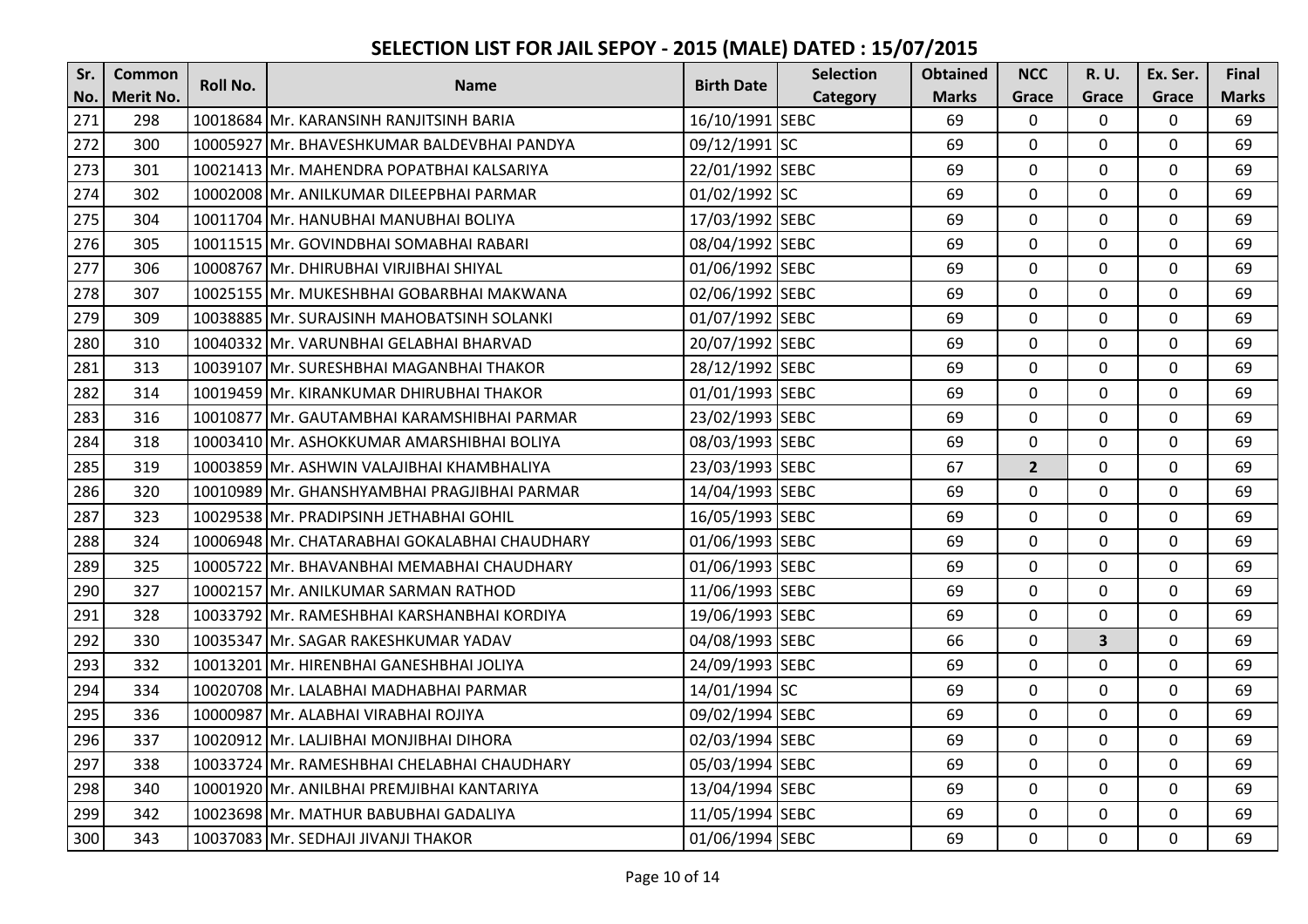| Sr. | <b>Common</b>    | <b>Roll No.</b> |                                               |                   | <b>Selection</b> | <b>Obtained</b> | <b>NCC</b>     | <b>R.U.</b>             | Ex. Ser.       | Final        |
|-----|------------------|-----------------|-----------------------------------------------|-------------------|------------------|-----------------|----------------|-------------------------|----------------|--------------|
| No. | <b>Merit No.</b> |                 | <b>Name</b>                                   | <b>Birth Date</b> | Category         | <b>Marks</b>    | Grace          | Grace                   | Grace          | <b>Marks</b> |
| 271 | 298              |                 | 10018684 Mr. KARANSINH RANJITSINH BARIA       | 16/10/1991 SEBC   |                  | 69              | $\mathbf{0}$   | $\Omega$                | $\overline{0}$ | 69           |
| 272 | 300              |                 | 10005927 Mr. BHAVESHKUMAR BALDEVBHAI PANDYA   | 09/12/1991 SC     |                  | 69              | 0              | $\Omega$                | $\mathbf 0$    | 69           |
| 273 | 301              |                 | 10021413 Mr. MAHENDRA POPATBHAI KALSARIYA     | 22/01/1992 SEBC   |                  | 69              | $\mathbf 0$    | $\Omega$                | 0              | 69           |
| 274 | 302              |                 | 10002008 Mr. ANILKUMAR DILEEPBHAI PARMAR      | 01/02/1992 SC     |                  | 69              | $\mathbf 0$    | $\Omega$                | $\mathbf 0$    | 69           |
| 275 | 304              |                 | 10011704 Mr. HANUBHAI MANUBHAI BOLIYA         | 17/03/1992 SEBC   |                  | 69              | $\overline{0}$ | 0                       | $\mathbf 0$    | 69           |
| 276 | 305              |                 | 10011515 Mr. GOVINDBHAI SOMABHAI RABARI       | 08/04/1992 SEBC   |                  | 69              | $\Omega$       | $\Omega$                | $\mathbf 0$    | 69           |
| 277 | 306              |                 | 10008767 Mr. DHIRUBHAI VIRJIBHAI SHIYAL       | 01/06/1992 SEBC   |                  | 69              | $\Omega$       | $\mathbf 0$             | $\mathbf 0$    | 69           |
| 278 | 307              |                 | 10025155 Mr. MUKESHBHAI GOBARBHAI MAKWANA     | 02/06/1992 SEBC   |                  | 69              | $\mathbf 0$    | 0                       | $\mathbf 0$    | 69           |
| 279 | 309              |                 | 10038885 Mr. SURAJSINH MAHOBATSINH SOLANKI    | 01/07/1992 SEBC   |                  | 69              | 0              | 0                       | $\mathbf 0$    | 69           |
| 280 | 310              |                 | 10040332 Mr. VARUNBHAI GELABHAI BHARVAD       | 20/07/1992 SEBC   |                  | 69              | $\mathbf 0$    | $\mathbf 0$             | $\mathbf 0$    | 69           |
| 281 | 313              |                 | 10039107 Mr. SURESHBHAI MAGANBHAI THAKOR      | 28/12/1992 SEBC   |                  | 69              | $\overline{0}$ | $\Omega$                | $\mathbf 0$    | 69           |
| 282 | 314              |                 | 10019459 Mr. KIRANKUMAR DHIRUBHAI THAKOR      | 01/01/1993 SEBC   |                  | 69              | $\Omega$       | 0                       | 0              | 69           |
| 283 | 316              |                 | 10010877 Mr. GAUTAMBHAI KARAMSHIBHAI PARMAR   | 23/02/1993 SEBC   |                  | 69              | $\mathbf{0}$   | $\Omega$                | $\mathbf 0$    | 69           |
| 284 | 318              |                 | 10003410 Mr. ASHOKKUMAR AMARSHIBHAI BOLIYA    | 08/03/1993 SEBC   |                  | 69              | $\mathbf{0}$   | $\Omega$                | 0              | 69           |
| 285 | 319              |                 | 10003859 Mr. ASHWIN VALAJIBHAI KHAMBHALIYA    | 23/03/1993 SEBC   |                  | 67              | $\overline{2}$ | $\Omega$                | $\mathbf 0$    | 69           |
| 286 | 320              |                 | 10010989 Mr. GHANSHYAMBHAI PRAGJIBHAI PARMAR  | 14/04/1993 SEBC   |                  | 69              | $\overline{0}$ | $\mathbf 0$             | $\mathbf 0$    | 69           |
| 287 | 323              |                 | 10029538 Mr. PRADIPSINH JETHABHAI GOHIL       | 16/05/1993 SEBC   |                  | 69              | $\mathbf 0$    | $\Omega$                | $\mathbf 0$    | 69           |
| 288 | 324              |                 | 10006948 Mr. CHATARABHAI GOKALABHAI CHAUDHARY | 01/06/1993 SEBC   |                  | 69              | 0              | $\mathbf 0$             | $\mathbf 0$    | 69           |
| 289 | 325              |                 | 10005722 Mr. BHAVANBHAI MEMABHAI CHAUDHARY    | 01/06/1993 SEBC   |                  | 69              | $\Omega$       | $\mathbf 0$             | $\mathbf 0$    | 69           |
| 290 | 327              |                 | 10002157 Mr. ANILKUMAR SARMAN RATHOD          | 11/06/1993 SEBC   |                  | 69              | $\mathbf 0$    | 0                       | $\mathbf 0$    | 69           |
| 291 | 328              |                 | 10033792 Mr. RAMESHBHAI KARSHANBHAI KORDIYA   | 19/06/1993 SEBC   |                  | 69              | 0              | $\mathbf 0$             | $\mathbf 0$    | 69           |
| 292 | 330              |                 | 10035347 Mr. SAGAR RAKESHKUMAR YADAV          | 04/08/1993 SEBC   |                  | 66              | $\overline{0}$ | $\overline{\mathbf{3}}$ | $\mathbf 0$    | 69           |
| 293 | 332              |                 | 10013201 Mr. HIRENBHAI GANESHBHAI JOLIYA      | 24/09/1993 SEBC   |                  | 69              | $\mathbf 0$    | 0                       | $\mathbf 0$    | 69           |
| 294 | 334              |                 | 10020708 Mr. LALABHAI MADHABHAI PARMAR        | 14/01/1994 SC     |                  | 69              | $\mathbf 0$    | $\Omega$                | 0              | 69           |
| 295 | 336              |                 | 10000987 Mr. ALABHAI VIRABHAI ROJIYA          | 09/02/1994 SEBC   |                  | 69              | $\Omega$       | $\Omega$                | $\mathbf 0$    | 69           |
| 296 | 337              |                 | 10020912 Mr. LALJIBHAI MONJIBHAI DIHORA       | 02/03/1994 SEBC   |                  | 69              | 0              | $\Omega$                | $\mathbf 0$    | 69           |
| 297 | 338              |                 | 10033724 Mr. RAMESHBHAI CHELABHAI CHAUDHARY   | 05/03/1994 SEBC   |                  | 69              | 0              | $\Omega$                | 0              | 69           |
| 298 | 340              |                 | 10001920 Mr. ANILBHAI PREMJIBHAI KANTARIYA    | 13/04/1994 SEBC   |                  | 69              | $\Omega$       | $\Omega$                | $\mathbf 0$    | 69           |
| 299 | 342              |                 | 10023698 Mr. MATHUR BABUBHAI GADALIYA         | 11/05/1994 SEBC   |                  | 69              | $\mathbf 0$    | $\mathbf 0$             | $\mathbf 0$    | 69           |
| 300 | 343              |                 | 10037083 Mr. SEDHAJI JIVANJI THAKOR           | 01/06/1994 SEBC   |                  | 69              | $\mathbf 0$    | $\overline{0}$          | $\mathbf 0$    | 69           |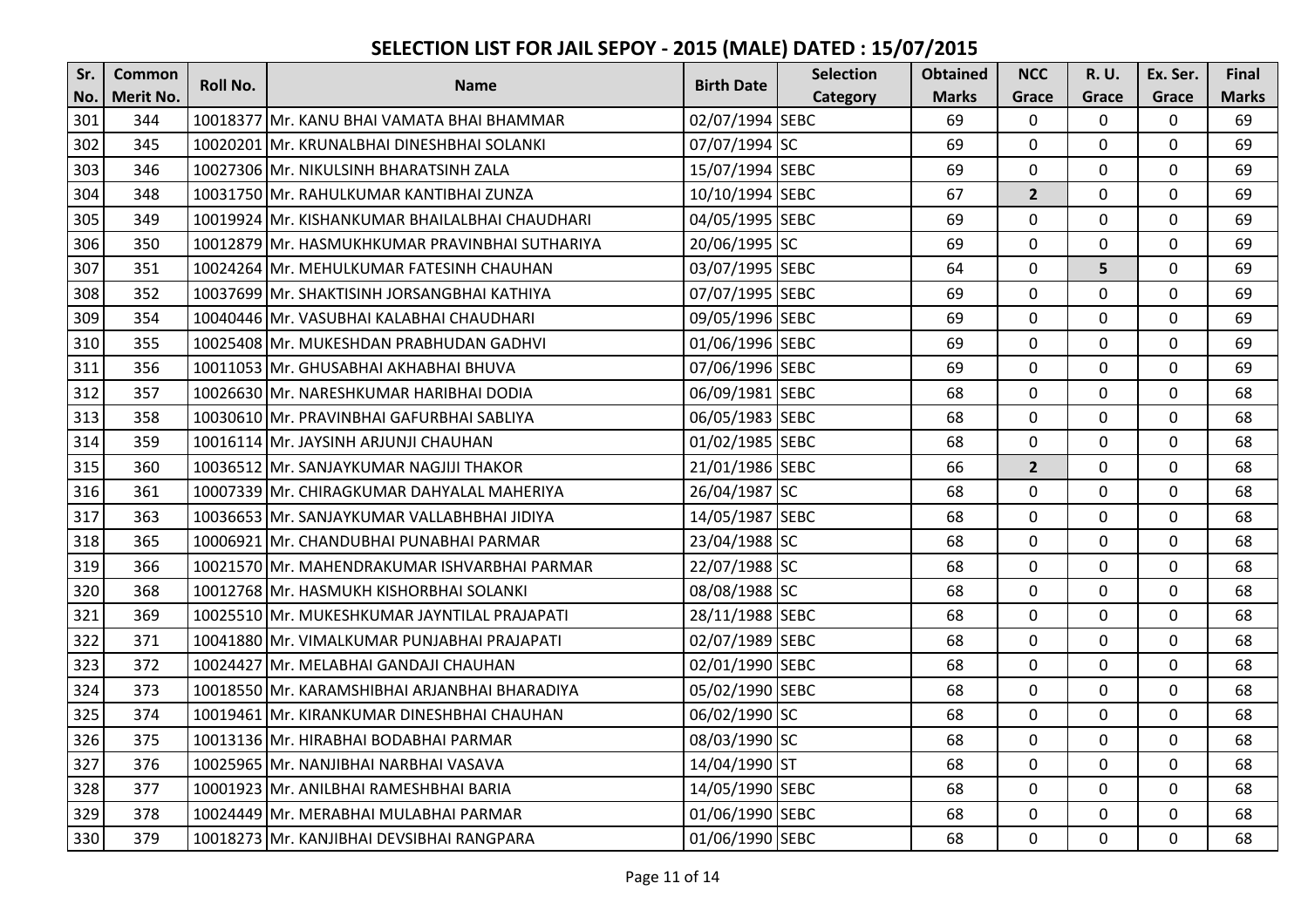| Sr. | <b>Common</b>    | Roll No. |                                                |                   | <b>Selection</b> | <b>Obtained</b> | <b>NCC</b>     | R. U.          | Ex. Ser.       | <b>Final</b> |
|-----|------------------|----------|------------------------------------------------|-------------------|------------------|-----------------|----------------|----------------|----------------|--------------|
| No. | <b>Merit No.</b> |          | <b>Name</b>                                    | <b>Birth Date</b> | Category         | <b>Marks</b>    | Grace          | Grace          | Grace          | <b>Marks</b> |
| 301 | 344              |          | 10018377 Mr. KANU BHAI VAMATA BHAI BHAMMAR     | 02/07/1994 SEBC   |                  | 69              | $\mathbf{0}$   | $\Omega$       | $\overline{0}$ | 69           |
| 302 | 345              |          | 10020201 Mr. KRUNALBHAI DINESHBHAI SOLANKI     | 07/07/1994 SC     |                  | 69              | $\mathbf{0}$   | $\Omega$       | $\mathbf 0$    | 69           |
| 303 | 346              |          | 10027306 Mr. NIKULSINH BHARATSINH ZALA         | 15/07/1994 SEBC   |                  | 69              | $\mathbf 0$    | $\Omega$       | 0              | 69           |
| 304 | 348              |          | 10031750 Mr. RAHULKUMAR KANTIBHAI ZUNZA        | 10/10/1994 SEBC   |                  | 67              | $\overline{2}$ | $\mathbf{0}$   | $\mathbf 0$    | 69           |
| 305 | 349              |          | 10019924 Mr. KISHANKUMAR BHAILALBHAI CHAUDHARI | 04/05/1995 SEBC   |                  | 69              | $\mathbf 0$    | 0              | $\mathbf 0$    | 69           |
| 306 | 350              |          | 10012879 Mr. HASMUKHKUMAR PRAVINBHAI SUTHARIYA | 20/06/1995 SC     |                  | 69              | 0              | 0              | $\mathbf 0$    | 69           |
| 307 | 351              |          | 10024264 Mr. MEHULKUMAR FATESINH CHAUHAN       | 03/07/1995 SEBC   |                  | 64              | $\mathbf 0$    | 5              | $\mathbf 0$    | 69           |
| 308 | 352              |          | 10037699 Mr. SHAKTISINH JORSANGBHAI KATHIYA    | 07/07/1995 SEBC   |                  | 69              | $\mathbf 0$    | $\Omega$       | $\mathbf 0$    | 69           |
| 309 | 354              |          | 10040446 Mr. VASUBHAI KALABHAI CHAUDHARI       | 09/05/1996 SEBC   |                  | 69              | $\mathbf 0$    | 0              | 0              | 69           |
| 310 | 355              |          | 10025408 Mr. MUKESHDAN PRABHUDAN GADHVI        | 01/06/1996 SEBC   |                  | 69              | $\overline{0}$ | $\mathbf 0$    | $\mathbf 0$    | 69           |
| 311 | 356              |          | 10011053 Mr. GHUSABHAI AKHABHAI BHUVA          | 07/06/1996 SEBC   |                  | 69              | $\mathbf{0}$   | $\Omega$       | $\mathbf 0$    | 69           |
| 312 | 357              |          | 10026630 Mr. NARESHKUMAR HARIBHAI DODIA        | 06/09/1981 SEBC   |                  | 68              | $\mathbf{0}$   | $\Omega$       | $\mathbf 0$    | 68           |
| 313 | 358              |          | 10030610 Mr. PRAVINBHAI GAFURBHAI SABLIYA      | 06/05/1983 SEBC   |                  | 68              | $\Omega$       | $\Omega$       | $\mathbf 0$    | 68           |
| 314 | 359              |          | 10016114 Mr. JAYSINH ARJUNJI CHAUHAN           | 01/02/1985 SEBC   |                  | 68              | $\mathbf 0$    | $\Omega$       | 0              | 68           |
| 315 | 360              |          | 10036512 Mr. SANJAYKUMAR NAGJIJI THAKOR        | 21/01/1986 SEBC   |                  | 66              | $\overline{2}$ | $\Omega$       | $\mathbf 0$    | 68           |
| 316 | 361              |          | 10007339 Mr. CHIRAGKUMAR DAHYALAL MAHERIYA     | 26/04/1987 SC     |                  | 68              | $\Omega$       | $\Omega$       | $\mathbf 0$    | 68           |
| 317 | 363              |          | 10036653 Mr. SANJAYKUMAR VALLABHBHAI JIDIYA    | 14/05/1987 SEBC   |                  | 68              | $\Omega$       | $\mathbf 0$    | $\mathbf 0$    | 68           |
| 318 | 365              |          | 10006921 Mr. CHANDUBHAI PUNABHAI PARMAR        | 23/04/1988 SC     |                  | 68              | $\mathbf 0$    | 0              | $\mathbf 0$    | 68           |
| 319 | 366              |          | 10021570 Mr. MAHENDRAKUMAR ISHVARBHAI PARMAR   | 22/07/1988 SC     |                  | 68              | $\mathbf 0$    | $\Omega$       | $\mathbf 0$    | 68           |
| 320 | 368              |          | 10012768 Mr. HASMUKH KISHORBHAI SOLANKI        | 08/08/1988 SC     |                  | 68              | $\mathbf 0$    | $\mathbf 0$    | $\mathbf 0$    | 68           |
| 321 | 369              |          | 10025510 Mr. MUKESHKUMAR JAYNTILAL PRAJAPATI   | 28/11/1988 SEBC   |                  | 68              | 0              | 0              | 0              | 68           |
| 322 | 371              |          | 10041880 Mr. VIMALKUMAR PUNJABHAI PRAJAPATI    | 02/07/1989 SEBC   |                  | 68              | $\Omega$       | $\Omega$       | $\mathbf 0$    | 68           |
| 323 | 372              |          | 10024427 Mr. MELABHAI GANDAJI CHAUHAN          | 02/01/1990 SEBC   |                  | 68              | $\overline{0}$ | $\mathbf 0$    | $\mathbf 0$    | 68           |
| 324 | 373              |          | 10018550 Mr. KARAMSHIBHAI ARJANBHAI BHARADIYA  | 05/02/1990 SEBC   |                  | 68              | $\mathbf{0}$   | 0              | $\mathbf 0$    | 68           |
| 325 | 374              |          | 10019461 Mr. KIRANKUMAR DINESHBHAI CHAUHAN     | 06/02/1990 SC     |                  | 68              | $\mathbf 0$    | $\Omega$       | $\mathbf 0$    | 68           |
| 326 | 375              |          | 10013136 Mr. HIRABHAI BODABHAI PARMAR          | 08/03/1990 SC     |                  | 68              | $\overline{0}$ | $\Omega$       | $\mathbf 0$    | 68           |
| 327 | 376              |          | 10025965 Mr. NANJIBHAI NARBHAI VASAVA          | 14/04/1990 ST     |                  | 68              | $\mathbf 0$    | 0              | $\mathbf 0$    | 68           |
| 328 | 377              |          | 10001923 Mr. ANILBHAI RAMESHBHAI BARIA         | 14/05/1990 SEBC   |                  | 68              | $\Omega$       | $\mathbf 0$    | $\mathbf 0$    | 68           |
| 329 | 378              |          | 10024449 Mr. MERABHAI MULABHAI PARMAR          | 01/06/1990 SEBC   |                  | 68              | $\mathbf 0$    | $\mathbf 0$    | $\mathbf 0$    | 68           |
| 330 | 379              |          | 10018273 Mr. KANJIBHAI DEVSIBHAI RANGPARA      | 01/06/1990 SEBC   |                  | 68              | $\mathbf 0$    | $\overline{0}$ | $\mathbf{0}$   | 68           |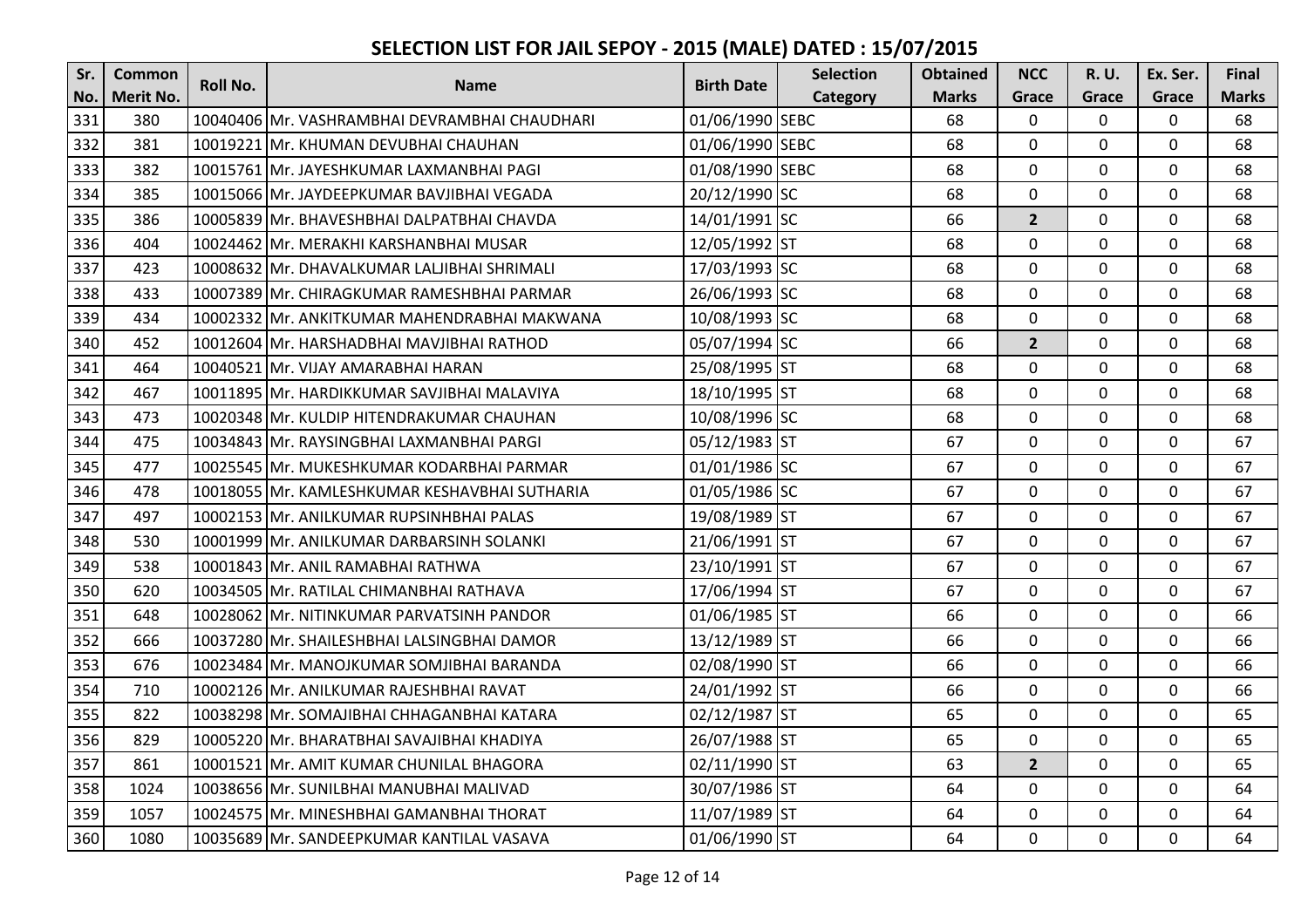| Sr. | Common           | <b>Roll No.</b> |                                               | <b>Birth Date</b> | <b>Selection</b> | <b>Obtained</b> | <b>NCC</b>     | <b>R.U.</b>  | Ex. Ser.       | Final        |
|-----|------------------|-----------------|-----------------------------------------------|-------------------|------------------|-----------------|----------------|--------------|----------------|--------------|
| No. | <b>Merit No.</b> |                 | <b>Name</b>                                   |                   | Category         | <b>Marks</b>    | Grace          | Grace        | Grace          | <b>Marks</b> |
| 331 | 380              |                 | 10040406 Mr. VASHRAMBHAI DEVRAMBHAI CHAUDHARI | 01/06/1990 SEBC   |                  | 68              | $\mathbf 0$    | $\Omega$     | $\overline{0}$ | 68           |
| 332 | 381              |                 | 10019221 Mr. KHUMAN DEVUBHAI CHAUHAN          | 01/06/1990 SEBC   |                  | 68              | $\mathbf 0$    | $\Omega$     | $\mathbf 0$    | 68           |
| 333 | 382              |                 | 10015761 Mr. JAYESHKUMAR LAXMANBHAI PAGI      | 01/08/1990 SEBC   |                  | 68              | $\mathbf 0$    | $\Omega$     | $\Omega$       | 68           |
| 334 | 385              |                 | 10015066 Mr. JAYDEEPKUMAR BAVJIBHAI VEGADA    | 20/12/1990 SC     |                  | 68              | 0              | $\mathbf 0$  | $\mathbf 0$    | 68           |
| 335 | 386              |                 | 10005839 Mr. BHAVESHBHAI DALPATBHAI CHAVDA    | 14/01/1991 SC     |                  | 66              | $\overline{2}$ | $\mathbf{0}$ | $\mathbf 0$    | 68           |
| 336 | 404              |                 | 10024462 Mr. MERAKHI KARSHANBHAI MUSAR        | 12/05/1992 ST     |                  | 68              | $\mathbf 0$    | $\mathbf 0$  | $\mathbf 0$    | 68           |
| 337 | 423              |                 | 10008632 Mr. DHAVALKUMAR LALJIBHAI SHRIMALI   | 17/03/1993 SC     |                  | 68              | $\mathbf 0$    | $\Omega$     | 0              | 68           |
| 338 | 433              |                 | 10007389 Mr. CHIRAGKUMAR RAMESHBHAI PARMAR    | 26/06/1993 SC     |                  | 68              | $\mathbf 0$    | 0            | $\mathbf 0$    | 68           |
| 339 | 434              |                 | 10002332 Mr. ANKITKUMAR MAHENDRABHAI MAKWANA  | 10/08/1993 SC     |                  | 68              | $\mathbf 0$    | $\Omega$     | $\mathbf 0$    | 68           |
| 340 | 452              |                 | 10012604 Mr. HARSHADBHAI MAVJIBHAI RATHOD     | 05/07/1994 SC     |                  | 66              | $\overline{2}$ | $\mathbf{0}$ | $\mathbf 0$    | 68           |
| 341 | 464              |                 | 10040521 Mr. VIJAY AMARABHAI HARAN            | 25/08/1995 ST     |                  | 68              | $\mathbf 0$    | 0            | $\mathbf 0$    | 68           |
| 342 | 467              |                 | 10011895 Mr. HARDIKKUMAR SAVJIBHAI MALAVIYA   | 18/10/1995 ST     |                  | 68              | $\overline{0}$ | 0            | $\mathbf 0$    | 68           |
| 343 | 473              |                 | 10020348 Mr. KULDIP HITENDRAKUMAR CHAUHAN     | 10/08/1996 SC     |                  | 68              | $\mathbf 0$    | 0            | $\mathbf 0$    | 68           |
| 344 | 475              |                 | 10034843 Mr. RAYSINGBHAI LAXMANBHAI PARGI     | 05/12/1983 ST     |                  | 67              | $\overline{0}$ | 0            | $\mathbf 0$    | 67           |
| 345 | 477              |                 | 10025545 Mr. MUKESHKUMAR KODARBHAI PARMAR     | 01/01/1986 SC     |                  | 67              | $\Omega$       | $\Omega$     | 0              | 67           |
| 346 | 478              |                 | 10018055 Mr. KAMLESHKUMAR KESHAVBHAI SUTHARIA | 01/05/1986 SC     |                  | 67              | $\overline{0}$ | 0            | $\mathbf 0$    | 67           |
| 347 | 497              |                 | 10002153 Mr. ANILKUMAR RUPSINHBHAI PALAS      | 19/08/1989 ST     |                  | 67              | $\mathbf 0$    | 0            | $\mathbf 0$    | 67           |
| 348 | 530              |                 | 10001999 Mr. ANILKUMAR DARBARSINH SOLANKI     | 21/06/1991 ST     |                  | 67              | 0              | $\mathbf 0$  | $\mathbf 0$    | 67           |
| 349 | 538              |                 | 10001843 Mr. ANIL RAMABHAI RATHWA             | 23/10/1991 ST     |                  | 67              | $\mathbf 0$    | $\mathbf 0$  | $\mathbf 0$    | 67           |
| 350 | 620              |                 | 10034505 Mr. RATILAL CHIMANBHAI RATHAVA       | 17/06/1994 ST     |                  | 67              | $\mathbf 0$    | $\Omega$     | $\mathbf 0$    | 67           |
| 351 | 648              |                 | 10028062 Mr. NITINKUMAR PARVATSINH PANDOR     | 01/06/1985 ST     |                  | 66              | $\overline{0}$ | 0            | 0              | 66           |
| 352 | 666              |                 | 10037280 Mr. SHAILESHBHAI LALSINGBHAI DAMOR   | 13/12/1989 ST     |                  | 66              | 0              | $\mathbf{0}$ | $\mathbf 0$    | 66           |
| 353 | 676              |                 | 10023484 Mr. MANOJKUMAR SOMJIBHAI BARANDA     | 02/08/1990 ST     |                  | 66              | $\mathbf 0$    | $\Omega$     | $\mathbf 0$    | 66           |
| 354 | 710              |                 | 10002126 Mr. ANILKUMAR RAJESHBHAI RAVAT       | 24/01/1992 ST     |                  | 66              | 0              | 0            | $\mathbf 0$    | 66           |
| 355 | 822              |                 | 10038298 Mr. SOMAJIBHAI CHHAGANBHAI KATARA    | 02/12/1987 ST     |                  | 65              | $\overline{0}$ | $\mathbf 0$  | $\mathbf 0$    | 65           |
| 356 | 829              |                 | 10005220 Mr. BHARATBHAI SAVAJIBHAI KHADIYA    | 26/07/1988 ST     |                  | 65              | $\mathbf 0$    | 0            | $\mathbf 0$    | 65           |
| 357 | 861              |                 | 10001521 Mr. AMIT KUMAR CHUNILAL BHAGORA      | 02/11/1990 ST     |                  | 63              | $\overline{2}$ | $\mathbf{0}$ | $\mathbf 0$    | 65           |
| 358 | 1024             |                 | 10038656 Mr. SUNILBHAI MANUBHAI MALIVAD       | 30/07/1986 ST     |                  | 64              | $\mathbf{0}$   | $\Omega$     | $\mathbf 0$    | 64           |
| 359 | 1057             |                 | 10024575 Mr. MINESHBHAI GAMANBHAI THORAT      | 11/07/1989 ST     |                  | 64              | $\mathbf{0}$   | 0            | $\mathbf 0$    | 64           |
| 360 | 1080             |                 | 10035689 Mr. SANDEEPKUMAR KANTILAL VASAVA     | 01/06/1990 ST     |                  | 64              | $\mathbf{0}$   | $\mathbf 0$  | $\mathbf 0$    | 64           |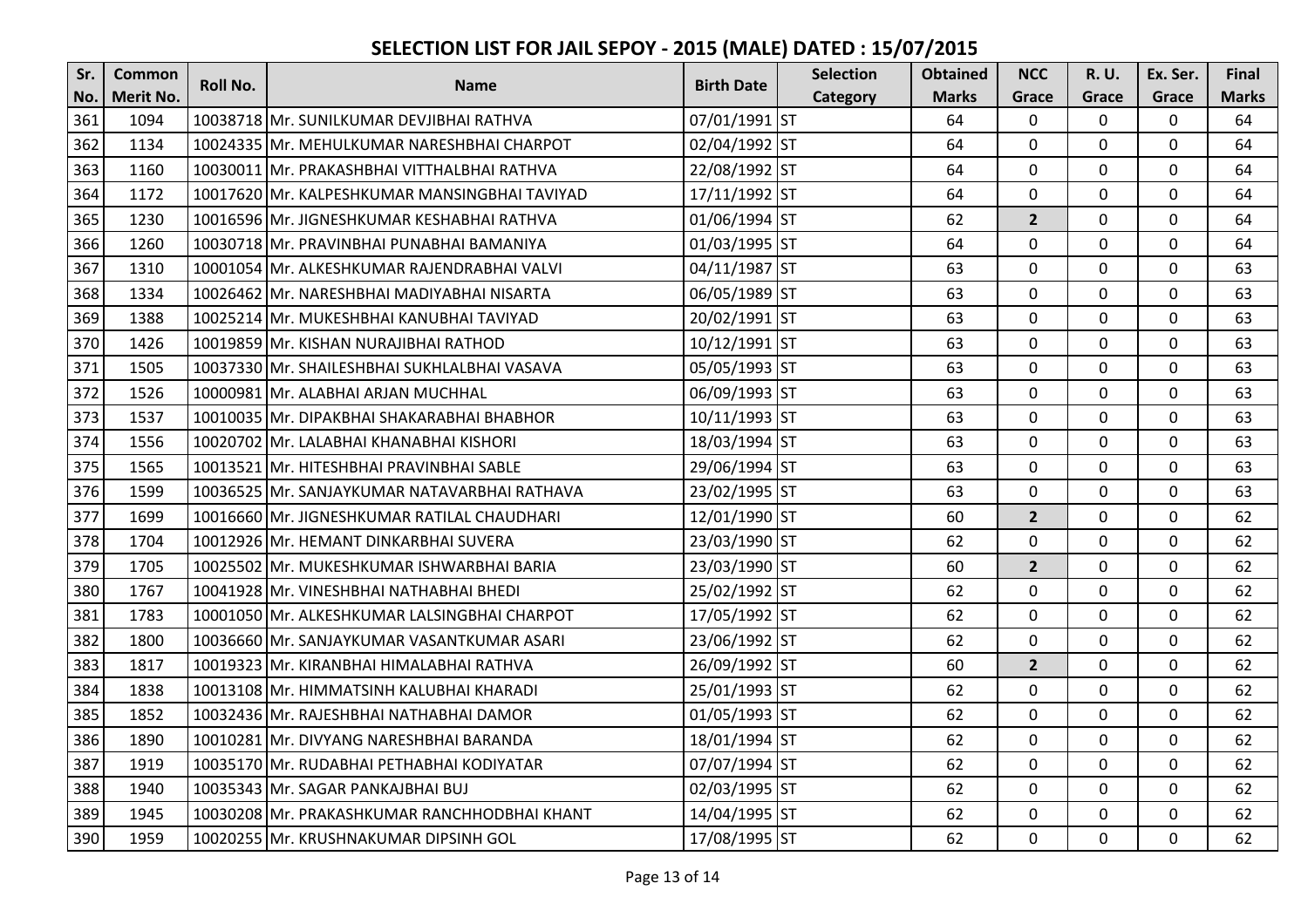| Sr. | <b>Common</b>    | <b>Roll No.</b> | <b>Name</b>                                   | <b>Birth Date</b> | <b>Selection</b> | <b>Obtained</b> | <b>NCC</b>     | <b>R.U.</b>  | Ex. Ser.     | Final        |
|-----|------------------|-----------------|-----------------------------------------------|-------------------|------------------|-----------------|----------------|--------------|--------------|--------------|
| No. | <b>Merit No.</b> |                 |                                               |                   | Category         | <b>Marks</b>    | Grace          | Grace        | Grace        | <b>Marks</b> |
| 361 | 1094             |                 | 10038718 Mr. SUNILKUMAR DEVJIBHAI RATHVA      | 07/01/1991 ST     |                  | 64              | $\mathbf{0}$   | $\Omega$     | $\mathbf 0$  | 64           |
| 362 | 1134             |                 | 10024335 Mr. MEHULKUMAR NARESHBHAI CHARPOT    | 02/04/1992 ST     |                  | 64              | $\mathbf{0}$   | $\mathbf 0$  | $\mathbf 0$  | 64           |
| 363 | 1160             |                 | 10030011 Mr. PRAKASHBHAI VITTHALBHAI RATHVA   | 22/08/1992 ST     |                  | 64              | $\Omega$       | $\Omega$     | $\mathbf{0}$ | 64           |
| 364 | 1172             |                 | 10017620 Mr. KALPESHKUMAR MANSINGBHAI TAVIYAD | 17/11/1992 ST     |                  | 64              | $\mathbf 0$    | $\mathbf 0$  | $\mathbf 0$  | 64           |
| 365 | 1230             |                 | 10016596 Mr. JIGNESHKUMAR KESHABHAI RATHVA    | 01/06/1994 ST     |                  | 62              | $\overline{2}$ | $\mathbf 0$  | $\mathbf 0$  | 64           |
| 366 | 1260             |                 | 10030718 Mr. PRAVINBHAI PUNABHAI BAMANIYA     | 01/03/1995 ST     |                  | 64              | $\mathbf 0$    | $\mathbf 0$  | $\mathbf 0$  | 64           |
| 367 | 1310             |                 | 10001054 Mr. ALKESHKUMAR RAJENDRABHAI VALVI   | 04/11/1987 ST     |                  | 63              | $\mathbf{0}$   | 0            | 0            | 63           |
| 368 | 1334             |                 | 10026462 Mr. NARESHBHAI MADIYABHAI NISARTA    | 06/05/1989 ST     |                  | 63              | $\mathbf{0}$   | $\mathbf 0$  | $\mathbf 0$  | 63           |
| 369 | 1388             |                 | 10025214 Mr. MUKESHBHAI KANUBHAI TAVIYAD      | 20/02/1991 ST     |                  | 63              | $\mathbf 0$    | $\mathbf{0}$ | 0            | 63           |
| 370 | 1426             |                 | 10019859 Mr. KISHAN NURAJIBHAI RATHOD         | 10/12/1991 ST     |                  | 63              | $\mathbf{0}$   | $\mathbf 0$  | $\mathbf 0$  | 63           |
| 371 | 1505             |                 | 10037330 Mr. SHAILESHBHAI SUKHLALBHAI VASAVA  | 05/05/1993 ST     |                  | 63              | $\mathbf{0}$   | 0            | $\mathbf 0$  | 63           |
| 372 | 1526             |                 | 10000981 Mr. ALABHAI ARJAN MUCHHAL            | 06/09/1993 ST     |                  | 63              | $\mathbf 0$    | $\mathbf 0$  | $\mathbf 0$  | 63           |
| 373 | 1537             |                 | 10010035 Mr. DIPAKBHAI SHAKARABHAI BHABHOR    | 10/11/1993 ST     |                  | 63              | $\mathbf{0}$   | $\mathbf 0$  | 0            | 63           |
| 374 | 1556             |                 | 10020702 Mr. LALABHAI KHANABHAI KISHORI       | 18/03/1994 ST     |                  | 63              | $\mathbf{0}$   | $\mathbf{0}$ | $\mathbf 0$  | 63           |
| 375 | 1565             |                 | 10013521 Mr. HITESHBHAI PRAVINBHAI SABLE      | 29/06/1994 ST     |                  | 63              | $\Omega$       | $\Omega$     | 0            | 63           |
| 376 | 1599             |                 | 10036525 Mr. SANJAYKUMAR NATAVARBHAI RATHAVA  | 23/02/1995 ST     |                  | 63              | $\mathbf{0}$   | $\mathbf 0$  | $\mathbf 0$  | 63           |
| 377 | 1699             |                 | 10016660 Mr. JIGNESHKUMAR RATILAL CHAUDHARI   | 12/01/1990 ST     |                  | 60              | $2^{1}$        | $\mathbf{0}$ | $\mathbf 0$  | 62           |
| 378 | 1704             |                 | 10012926 Mr. HEMANT DINKARBHAI SUVERA         | 23/03/1990 ST     |                  | 62              | $\mathbf 0$    | $\mathbf 0$  | $\mathbf 0$  | 62           |
| 379 | 1705             |                 | 10025502 Mr. MUKESHKUMAR ISHWARBHAI BARIA     | 23/03/1990 ST     |                  | 60              | $\overline{2}$ | $\mathbf 0$  | $\mathbf 0$  | 62           |
| 380 | 1767             |                 | 10041928 Mr. VINESHBHAI NATHABHAI BHEDI       | 25/02/1992 ST     |                  | 62              | $\mathbf{0}$   | $\mathbf{0}$ | 0            | 62           |
| 381 | 1783             |                 | 10001050 Mr. ALKESHKUMAR LALSINGBHAI CHARPOT  | 17/05/1992 ST     |                  | 62              | $\mathbf 0$    | $\Omega$     | 0            | 62           |
| 382 | 1800             |                 | 10036660 Mr. SANJAYKUMAR VASANTKUMAR ASARI    | 23/06/1992 ST     |                  | 62              | $\mathbf{0}$   | $\mathbf 0$  | $\mathbf 0$  | 62           |
| 383 | 1817             |                 | 10019323 Mr. KIRANBHAI HIMALABHAI RATHVA      | 26/09/1992 ST     |                  | 60              | $\overline{2}$ | 0            | $\mathbf 0$  | 62           |
| 384 | 1838             |                 | 10013108 Mr. HIMMATSINH KALUBHAI KHARADI      | 25/01/1993 ST     |                  | 62              | $\mathbf 0$    | $\mathbf 0$  | $\mathbf 0$  | 62           |
| 385 | 1852             |                 | 10032436 Mr. RAJESHBHAI NATHABHAI DAMOR       | 01/05/1993 ST     |                  | 62              | $\mathbf 0$    | $\mathbf 0$  | $\mathbf 0$  | 62           |
| 386 | 1890             |                 | 10010281 Mr. DIVYANG NARESHBHAI BARANDA       | 18/01/1994 ST     |                  | 62              | $\mathbf{0}$   | $\mathbf 0$  | $\mathbf 0$  | 62           |
| 387 | 1919             |                 | 10035170 Mr. RUDABHAI PETHABHAI KODIYATAR     | 07/07/1994 ST     |                  | 62              | $\Omega$       | $\Omega$     | 0            | 62           |
| 388 | 1940             |                 | 10035343 Mr. SAGAR PANKAJBHAI BUJ             | 02/03/1995 ST     |                  | 62              | $\mathbf{0}$   | $\mathbf 0$  | $\mathbf 0$  | 62           |
| 389 | 1945             |                 | 10030208 Mr. PRAKASHKUMAR RANCHHODBHAI KHANT  | 14/04/1995 ST     |                  | 62              | $\mathbf{0}$   | $\mathbf 0$  | $\mathbf 0$  | 62           |
| 390 | 1959             |                 | 10020255 Mr. KRUSHNAKUMAR DIPSINH GOL         | 17/08/1995 ST     |                  | 62              | $\mathbf{0}$   | $\mathbf 0$  | $\mathbf 0$  | 62           |